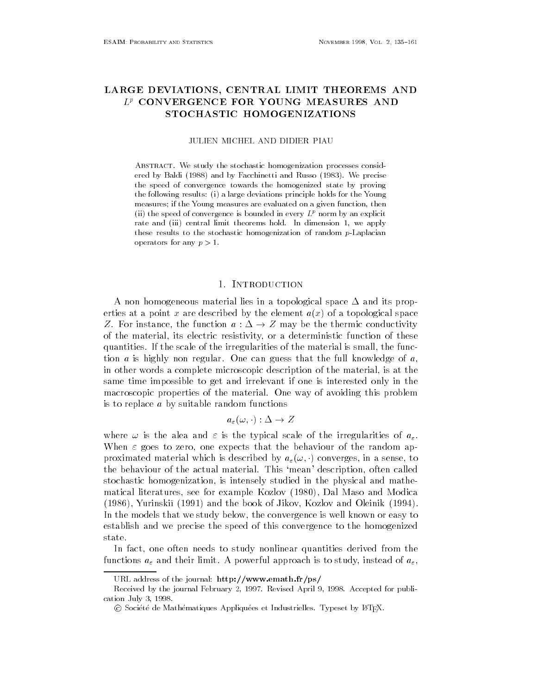# LARGE DEVIATIONS- CENTRAL LIMIT THEOREMS AND  $L^p$  CONVERGENCE FOR YOUNG MEASURES AND STOCHASTIC HOMOGENIZATIONS

**JULIEN MICHEL AND DIDIER PIAU** 

Abstract- We study the stochastic homogenization processes considered by Baldi (1988) and by Facchinetti and Russo (1983). We precise the speed of convergence towards the homogenized state by proving the following results i a large deviations principle holds for the Young measures; if the Young measures are evaluated on a given function, then (ii) the speed of convergence is bounded in every  $L^p$  norm by an explicit rate and (iii) central limit theorems hold. In dimension 1, we apply these results to the stochastic homogenization of random p-Laplacian  $o$  por according  $\rho > 1$ .

# 1 INTRODUCTION

A non homogeneous material lies in a topological space - and its prop erties at a point x are described by the element  $a(x)$  of a topological space Z. For instance, the function  $a: \Delta \to Z$  may be the thermic conductivity of the material, its electric resistivity, or a deterministic function of these quantities. If the scale of the irregularities of the material is small, the function  $a$  is highly non regular. One can guess that the full knowledge of  $a$ , in other words a complete microscopic description of the material, is at the same time impossible to get and irrelevant if one is interested only in the macroscopic properties of the material One way of avoiding this problem is to replace  $a$  by suitable random functions

$$
a_\varepsilon(\omega,\cdot):\Delta\to Z
$$

where  $\mathbf{u}$  is the alea and is the irregularities of the irregularities of a-When  $\varepsilon$  goes to zero, one expects that the behaviour of the random approximated material which is described by  $a_{\varepsilon}(\omega, \cdot)$  converges, in a sense, to the behaviour of the actual material This mean description often called stochastic homogenization is intensely studied in the physical and mathe matical literatures, see for example Kozlov (1980), Dal Maso and Modica (1986), Yurinskiĭ (1991) and the book of Jikov, Kozlov and Oleinik (1994). In the models that we study below the convergence is well known or easy to establish and we precise the speed of this convergence to the homogenized state.

In fact, one often needs to study nonlinear quantities derived from the tions are the limit and the study instead of the instead of powerful approach in the study instead of a-component

urlie the state of the journal company of the statement of proposed to the state of the state of the state of

Received by the journal February 2, 1997. Revised April 9, 1998. Accepted for publication July  

C Société de Mathématiques Appliquées et Industrielles. Typeset by L<sup>ATEX</sup>.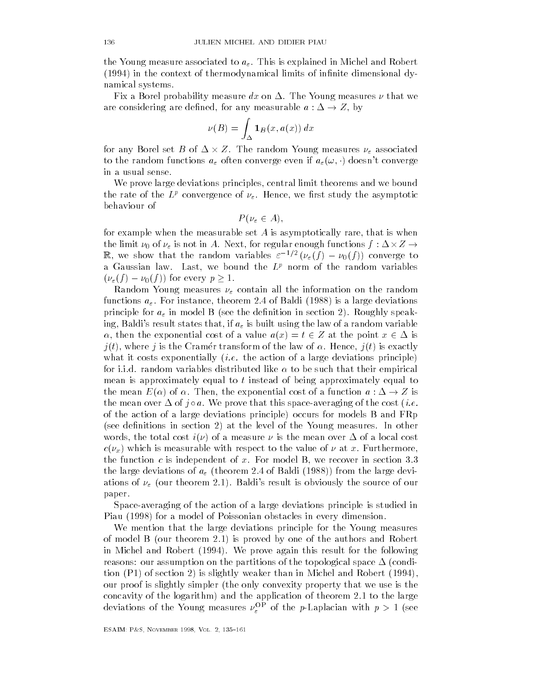the Young measure associated to a- This is explained in Michel and Robert (1994) in the context of thermodynamical limits of infinite dimensional dynamical systems

Fix a Borel probability measure dx on - The Young measures that we are considering are defined, for any measurable  $a:\Delta\to Z,$  by

$$
\nu(B) = \int_{\Delta} \mathbf{1}_B(x, a(x)) dx
$$

for any Borel set  $B$  of  $\Delta\times Z.$  The random Young measures  $\nu_\varepsilon$  associated to the random functions  $a_\varepsilon$  often converge even if  $a_\varepsilon(\omega, \cdot)$  doesn't converge in a usual sense

We prove large deviations principles, central limit theorems and we bound the rate of the  $L^2$  convergence of  $\nu_\varepsilon$ . Hence, we first study the asymptotic behaviour of

$$
P(\nu_{\varepsilon} \in A),
$$

for example when the measurable set  $A$  is asymptotically rare, that is when the limit  $\nu_0$  of  $\nu_\varepsilon$  is not in  $A$ . Next, for regular enough functions  $f:\Delta\!\times\! Z\to$ R, we show that the random variables  $\varepsilon^{-1/2}$   $(\nu_{\varepsilon}(f) - \nu_0(f))$  converge to a Gaussian law. Last, we bound the  $L^p$  norm of the random variables  $(\nu_{\varepsilon}(f) - \nu_0(f))$  for every  $p \geq 1$ .

Random Young measures - contain all the information on the random functions a- For instance theorem of Baldi 

 is a large deviations principle for a- in model B see the denition in section Roughly speak ing Baldi s result states that if a- is built using the law of a random variable  $\alpha$ , then the exponential cost of a value  $a(x) = t \in Z$  at the point  $x \in \Delta$  is  $j(t)$ , where  $j$  is the Cramér transform of the law of  $\alpha$ . Hence,  $j(t)$  is exactly whether it costs exponentially interesting in the action of a large deviation of a large deviation of a large d for i.i.d. random variables distributed like  $\alpha$  to be such that their empirical mean is approximately equal to  $t$  instead of being approximately equal to the mean  $E(\alpha)$  of  $\alpha$ . Then, the exponential cost of a function  $a : \Delta \to Z$  is the mean over  $\Delta$  of joa. We prove that this space-averaging of the cost (*i.e.* of the action of a large deviations principle occurs for models B and FRp (see definitions in section 2) at the level of the Young measures. In other words the total cost in  $\{r_{i}\}$  are measurements to the measure over  $\blacksquare$  are measured that  $c(\nu_x)$  which is measurable with respect to the value of  $\nu$  at  $x$ . Furthermore, the function c is independent of x. For model B, we recover in section 3.3 the large deviations of a-contractions of a-contractions of  $\mathcal{A}$ ations of -definitions of -definitions of our theorem is obviously the source of our contract of our contract of our contract of our contract of our contract of our contract of our contract of our contract of our contract paper

Space-averaging of the action of a large deviations principle is studied in Piau (1998) for a model of Poissonian obstacles in every dimension.

We mention that the large deviations principle for the Young measures of model B (our theorem 2.1) is proved by one of the authors and Robert in Michel and Robert (1994). We prove again this result for the following reasons our assumption on the partitions of the topological space - condi tion  $(P1)$  of section 2) is slightly weaker than in Michel and Robert  $(1994)$ , our proof is slightly simpler the only convexity property that we use is the concavity of the logarithm) and the application of theorem  $2.1$  to the large deviations of the Young measures  $\nu_{\varepsilon}^2$  of the p-Laplacian with  $p > 1$  (see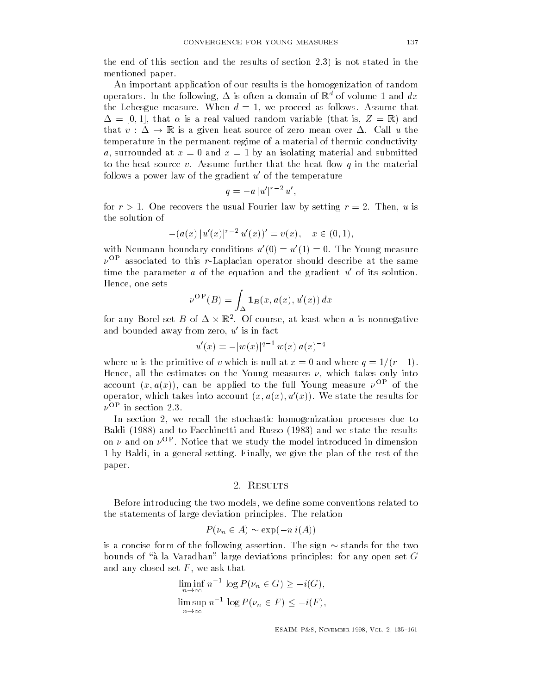the end of this section and this section and the results of section  $\mathbf{r}$ mentioned paper

An important application of our results is the homogenization of random operators. In the following,  $\Delta$  is often a domain of  $\mathbb R$  for volume 1 and  $ax$ the Lebesgue measure. When  $d = 1$ , we proceed as follows. Assume that - that is a real valued random variable that is Z R and that  $v : \Delta \to \mathbb{R}$  is a given heat source of zero mean over  $\Delta$ . Call u the temperature in the permanent regime of a material of thermic conductivity a, surrounded at  $x = 0$  and  $x = 1$  by an isolating material and submitted to the heat source v. Assume further that the heat flow q in the material follows a power law of the gradient  $u'$  of the temperature

$$
q = -a |u'|^{r-2} u',
$$

for  $r > 1$ . One recovers the usual Fourier law by setting  $r = 2$ . Then, u is the solution of

$$
-(a(x)|u'(x)|^{r-2}u'(x))'=v(x), x \in (0,1),
$$

with Neumann boundary conditions  $u'(0) = u'(1) = 0$ . The Young measure  $\nu^{\rm OP}$  associated to this r-Laplacian operator should describe at the same time the parameter a of the equation and the gradient  $u'$  of its solution. Hence, one sets

$$
\nu^{\rm OP}(B)=\int_\Delta {\bf 1}_B(x,a(x),u'(x))\ dx
$$

for any Borel set B of  $\Delta \times \mathbb{R}^2$ . Of course, at least when  $a$  is nonnegative and bounded away from zero,  $u^{\prime}$  is in fact

$$
u'(x) = -|w(x)|^{q-1} w(x) a(x)^{-q}
$$

where w is the primitive of v which is null at  $x = 0$  and where  $q = 1/(r - 1)$ . Hence, all the estimates on the Young measures  $\nu$ , which takes only into account  $(x, a(x))$ , can be applied to the full Young measure  $\nu^{\text{OP}}$  of the operator, which takes into account  $(x, a(x), u'(x))$ . We state the results for  $\nu^{\rm OP}$  in section 2.3.

In section 2, we recall the stochastic homogenization processes due to Baldi (1988) and to Facchinetti and Russo (1983) and we state the results on  $\nu$  and on  $\nu^{\text{OP}}$ . Notice that we study the model introduced in dimension 1 by Baldi, in a general setting. Finally, we give the plan of the rest of the paper

#### <u> - e e e e e e e</u>

Before introducing the two models, we define some conventions related to the statements of large deviation principles The relation

$$
P(\nu_n \in A) \sim \exp(-n i(A))
$$

is a concise form of the following assertion. The sign  $\sim$  stands for the two bounds of a la Varadhan large deviations principles: for any open set G<br>and any closed set F, we ask that<br> $\liminf n^{-1} \log P(\nu_n \in G) \geq -i(G)$ , and any closed set  $F,$  we ask that

$$
\liminf_{n \to \infty} n^{-1} \log P(\nu_n \in G) \ge -i(G),
$$
  

$$
\limsup_{n \to \infty} n^{-1} \log P(\nu_n \in F) \le -i(F),
$$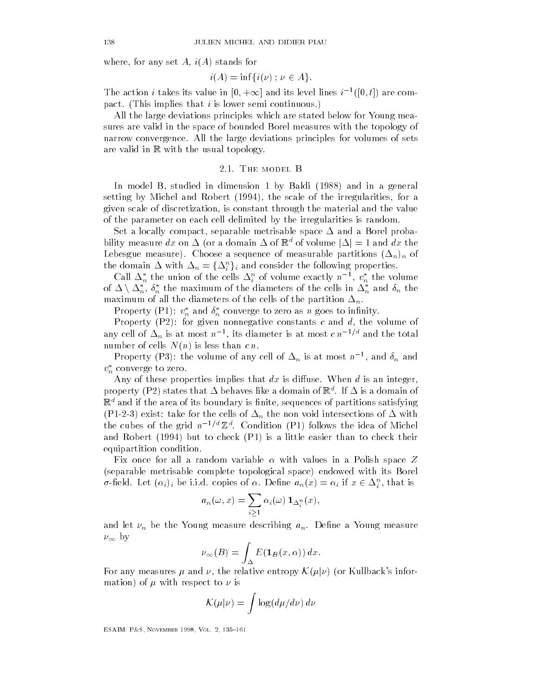where, for any set  $A$ ,  $i(A)$  stands for

$$
i(A) = \inf\{i(\nu) \; ; \; \nu \in A\}.
$$

The action i takes its value in  $[0, +\infty]$  and its level lines  $i^{-1}([0, t])$  are compact. (This implies that i is lower semi continuous.)

All the large deviations principles which are stated below for Young mea sures are valid in the space of bounded Borel measures with the topology of narrow convergence All the large deviations principles for volumes of sets are valid in  $\mathbb R$  with the usual topology.

#### 2.1. THE MODEL B

In model B, studied in dimension 1 by Baldi (1988) and in a general setting by Michel and Robert  $(1994)$ , the scale of the irregularities, for a given scale of discretization, is constant through the material and the value of the parameter on each cell delimited by the irregularities is random

Set a locally compact separable metrisable space - and a Borel proba bility measure  $dx$  on  $\Delta$  (or a domain  $\Delta$  of  $\mathbb{R}^d$  of volume  $|\Delta|$ Lebesgue measure Choose a sequence of measurable partitions -nn of the domain  $\Delta$  with  $\Delta_n = \{\Delta^n_i\}_i$  and consider the following properties.

Call  $\Delta_n^*$  the union of the cells  $\Delta_i^n$  of volume exactly  $n^{-1},\,v_n^*$  the volume of  $\Delta \setminus \Delta_n^*,$   $\delta_n^*$  the maximum of the diameters of the cells in  $\Delta_n^*$  and  $\delta_n$  the maximum of all the diameters of the cells of the partition of the partition of the partition of the partition of the partition of the partition of the partition of the partition of the partition of the partition of the par

Property (P1):  $v_n^*$  and  $\delta_n^*$  converge to zero as n goes to infinity.

Property (P2): for given nonnegative constants  $c$  and  $d$ , the volume of any cell of  $\Delta_n$  is at most  $n^{-1},$  its diameter is at most  $c$   $n^{-1/n}$  and the total number of cells  $N(n)$  is less than  $c n$ .

Property (P3): the volume of any cell of  $\Delta_n$  is at most  $n^{-1},$  and  $\delta_n$  and  $v_n^*$  converge to zero.

Any of these properties implies that  $dx$  is diffuse. When  $d$  is an integer, property (F  $\text{z}$ ) states that  $\Delta$  behaves like a domain of  $\text{R}$  . If  $\Delta$  is a domain of  $\mathbb{R}^d$  and if the area of its boundary is finite, sequences of partitions satisfying  $\mathcal{P}$  the cells of -  $\mathcal{P}$  -  $\mathcal{P}$  -  $\mathcal{P}$  -  $\mathcal{P}$  -  $\mathcal{P}$  -  $\mathcal{P}$  -  $\mathcal{P}$  -  $\mathcal{P}$  -  $\mathcal{P}$  -  $\mathcal{P}$  -  $\mathcal{P}$  -  $\mathcal{P}$  -  $\mathcal{P}$  -  $\mathcal{P}$  -  $\mathcal{P}$  -  $\mathcal{P}$  -  $\mathcal{P}$  -  $\mathcal{P}$  the cubes of the grid  $n^{-1/a} \mathbb{Z}^a$ . Condition (P1) follows the idea of Michel and Robert (1994) but to check  $(P1)$  is a little easier than to check their equipartition condition

Fix once for all a random variable  $\alpha$  with values in a Polish space Z (separable metrisable complete topological space) endowed with its Borel  $\sigma$ -field. Let  $(\alpha_i)_i$  be i.i.d. copies of  $\alpha$ . Define  $a_n(x) = \alpha_i$  if  $x \in \Delta_i^n$ , that is

$$
a_n(\omega, x) = \sum_{i \geq 1} \alpha_i(\omega) \, \mathbf{1}_{\Delta_i^n}(x),
$$

and let  $\nu_n$  be the Young measure describing  $a_n.$  Define a Young measure  $\nu_{\infty}$  by

$$
\nu_{\infty}(B) = \int_{\Delta} E(\mathbf{1}_B(x,\alpha)) dx.
$$

For any measures  $\mu$  and  $\nu$ , the relative entropy  $\mathcal{K}(\mu|\nu)$  (or Kullback's information) of  $\mu$  with respect to  $\nu$  is

$$
\mathcal{K}(\mu|\nu) = \int \log \left( d\mu/d\nu \right) d\nu
$$

ESAIM- P
S November Vol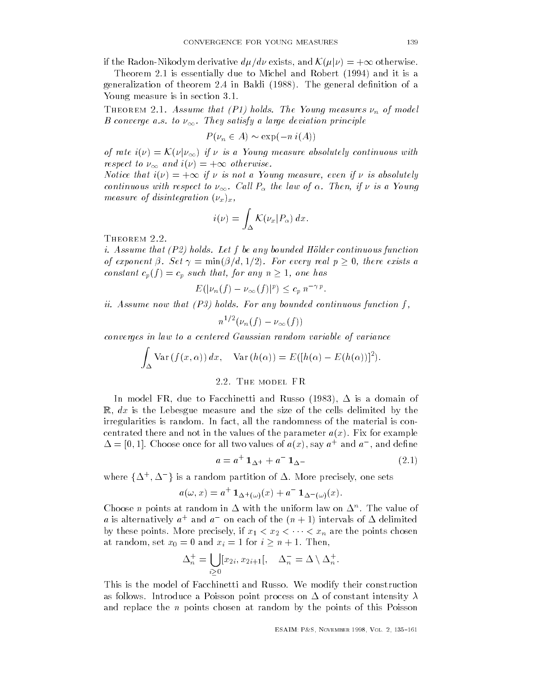if the Radon-Nikodym derivative  $d\mu/d\nu$  exists, and  $\mathcal{K}(\mu|\nu) = +\infty$  otherwise.

Theorem 2.1 is essentially due to Michel and Robert (1994) and it is a generalization of theorem 2.4 in Baldi  $(1988)$ . The general definition of a Young measure is in section 3.1.

The  $\mathcal{F}_{\mathbf{r}}$  holds-definition  $\mathcal{F}_{\mathbf{r}}$  and  $\mathcal{F}_{\mathbf{r}}$  and  $\mathcal{F}_{\mathbf{r}}$  and  $\mathcal{F}_{\mathbf{r}}$  and  $\mathcal{F}_{\mathbf{r}}$  and  $\mathcal{F}_{\mathbf{r}}$  and  $\mathcal{F}_{\mathbf{r}}$  and  $\mathcal{F}_{\mathbf{r}}$  and  $\mathcal{F}_{\mathbf{r}}$  and  $\mathcal{F}_{\mathbf{r}}$  $B$  converge a.s. to  $\nu_{\infty}$  . They savisfy a large deviation principle

$$
P(\nu_n \in A) \sim \exp(-n i(A))
$$

of rate  $i(\nu) = \mathcal{K}(\nu|\nu_{\infty})$  if  $\nu$  is a Young measure absolutely continuous with respect to  $\nu_{\infty}$  and  $i(\nu) = +\infty$  otherwise.

Notice that  $i(\nu) = +\infty$  if  $\nu$  is not a Young measure, even if  $\nu$  is absolutely continuous with respect to  $\nu_{\infty}$  . Call  $_1$   $_{\alpha}$  the law of  $\alpha$ . Then, if  $\nu$  to a Toung measure of disintegration  $(\nu_x)_x$ ,

$$
i(\nu) = \int_{\Delta} \mathcal{K}(\nu_x | P_{\alpha}) dx.
$$

i-Assume that P holds-bounded Holds-bounded Holds-bounded Holds-bounded Holds-bounded Holds-bounded Holds-bound of exponent  $\beta$ . Set  $\gamma = \min(\beta/d, 1/2)$ . For every real  $p \geq 0$ , there exists a constant  $c_p(f) = c_p$  such that, for any  $n \ge 1$ , one has

$$
E(|\nu_n(f) - \nu_\infty(f)|^p) \le c_p n^{-\gamma p}.
$$

in-definition function function function function function function function function function function function  $f$ 

$$
n^{1/2}(\nu_n(f) - \nu_\infty(f))
$$

converges in law to a centered Gaussian random variable of variance

$$
\int_{\Delta} \text{Var}(f(x,\alpha)) dx, \quad \text{Var}(h(\alpha)) = E([h(\alpha) - E(h(\alpha))]^{2}).
$$

#### 2.2. THE MODEL FR

In model  $\mathbf{I}$  $\mathbb{R}, dx$  is the Lebesgue measure and the size of the cells delimited by the irregularities is random. In fact, all the randomness of the material is concentrated there and not in the values of the parameter  $a(x)$ . Fix for example  $\Delta = |0,1|$ . Choose once for all two values of  $a(x)$ , say  $a<sup>+</sup>$  and  $a<sup>-</sup>$ , and define

$$
a = a^{+} 1_{\Delta^{+}} + a^{-} 1_{\Delta^{-}} \tag{2.1}
$$

where  $\{\Delta^{+},\Delta^{-}\}$  is : is a random partition of - More precisely one sets of - More precisely one sets of - More precisely one sets o

$$
a(\omega, x) = a^+ \mathbf{1}_{\Delta^+(\omega)}(x) + a^- \mathbf{1}_{\Delta^-(\omega)}(x).
$$

Choose *n* points at random in  $\Delta$  with the uniform law on  $\Delta$  . The value of a is alternatively  $a^+$  and  $a^-$  on each of the  $(n+1)$  intervals of  $\Delta$  delimited by these points. More precisely, if  $x_1 < x_2 < \cdots <$  $x_1, x_2, \ldots, x_n$  are the points chosen chosen chosen chosen chosen chosen chosen chosen chosen chosen chosen chosen chosen chosen chosen chosen chosen chosen chosen chosen chosen chosen chosen chosen chosen chosen chosen at random, set  $x_0 = 0$  and  $x_i = 1$  for  $i \geq n + 1$ . Then,

$$
\Delta_n^+ = \bigcup_{i \geq 0} [x_{2i}, x_{2i+1}], \quad \Delta_n^- = \Delta \setminus \Delta_n^+.
$$

This is the model of Facchinetti and Russo We modify their construction as follows International and the point process on - International and the point process on - International and and replace the  $n$  points chosen at random by the points of this Poisson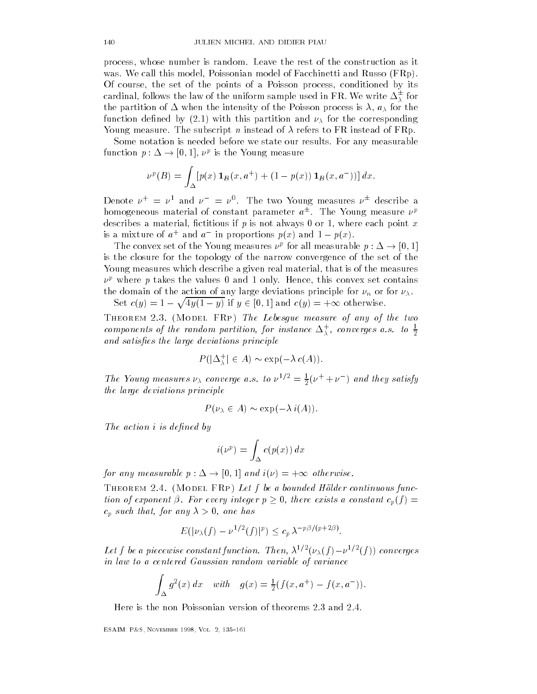process, whose number is random. Leave the rest of the construction as it was. We call this model, Poissonian model of Facchinetti and Russo  $(FRp)$ . Of course, the set of the points of a Poisson process, conditioned by its cardinal, follows the law of the uniform sample used in FR. We write  $\Delta^{\pm}_{\lambda}$  for the partition of the intensity of the intensity of the intensity of the intensity of the Poisson process is  $\mathcal{A}$ function defined by (2.1) with this partition and  $\nu_{\lambda}$  for the corresponding Young measure. The subscript n instead of  $\lambda$  refers to FR instead of FRp.

Some notation is needed before we state our results. For any measurable function  $p: \Delta \to [0,1]$ ,  $\nu^p$  is the Young measure

$$
\nu^{p}(B) = \int_{\Delta} [p(x) \mathbf{1}_{B}(x, a^{+}) + (1 - p(x)) \mathbf{1}_{B}(x, a^{-}))] dx.
$$

Denote  $\nu^+ = \nu^1$  and  $\nu^- = \nu^0$ . The two Young measures  $\nu^\pm$  describe a homogeneous material of constant parameter  $a^\pm$ . The Young measure  $\nu^p$ describes a material, fictitious if p is not always 0 or 1, where each point x is a mixture of  $a^+$  and  $a^-$  in proportions  $p(x)$  and  $1-p(x)$ .

The convex set of the Young measures  $\nu^p$  for all measurable  $p : \Delta \to [0,1]$ is the closure for the topology of the narrow convergence of the set of the Young measures which describe a given real material, that is of the measures  $\nu$  where  $p$  takes the values  $0$  and 1 only. Hence, this convex set contains the domain of the action of any large deviations principle for  $\nu_n$  or for  $\nu_\lambda$ . Set  $c(y) = 1 - \sqrt{4y(1-y)}$  if  $y \in [0, 1]$  and  $c(y) = +\infty$  otherwise.

Theorem - Model FRp The Lebesgue measure of any of the two components of the random partition, for instance  $\Delta_{\tilde{\lambda}}$ , converges a.s. to  $\frac{1}{2}$ and satisfactions principles the large deviation of the large deviation of the large deviation of the large dev  $\begin{aligned} &\limsup_{\lambda \to 0} \frac{1}{\lambda} \text{ is the same function,} \ &\liminf_{\lambda \to 0} \frac{1}{\lambda} \in A \text{ is the same function.} \end{aligned}$ 

$$
P(|\Delta_{\lambda}^+| \in A) \sim \exp(-\lambda c(A)).
$$

The Young measures  $\nu_{\lambda}$  converge a.s. to  $\nu^{1/2} = \frac{1}{2}(\nu^{+} + \nu^{-})$  and they satisfy the large deviations principle

$$
P(\nu_{\lambda} \in A) \sim \exp(-\lambda i(A)).
$$

The action is defined by the action in the action in the action is defined by the action of the action in the state of the state of the state of the state of the state of the state of the state of the state of the state of

$$
i(\nu^p) = \int_{\Delta} c(p(x)) dx
$$

for any measurable  $p : \Delta \to [0, 1]$  and  $i(\nu) = +\infty$  otherwise.

Theorem - Model France continuous functions for the above functions functions functions functions functions functions functions functions functions functions functions functions functions functions functions functions func tion of exponent  $\beta$ . For every integer  $p \geq 0$ , there exists a constant  $c_p(f)$  =  $c_p$  such that, for any  $\lambda > 0$ , one has

$$
E(|\nu_{\lambda}(f) - \nu^{1/2}(f)|^p) \leq c_p \lambda^{-p\beta/(p+2\beta)}.
$$

Let f be a piecewise constant function. Then,  $\lambda^{1/2}(\nu_{\lambda}(f)-\nu^{1/2}(f))$  converges in law to a centered Gaussian random variable of variance

$$
\int_{\Delta} g^{2}(x) dx \quad with \quad g(x) = \frac{1}{2}(f(x, a^{+}) - f(x, a^{-})).
$$

Here is the non-Poissonian version of theorems 2.3 and 2.4.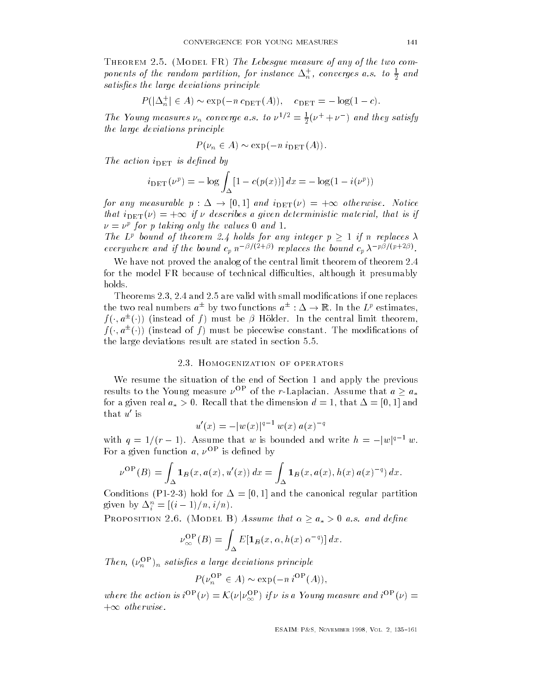Theorem - Model FR The Lebesgue measure of any of the two com ponents of the random partition, for instance  $\Delta_n^2$ , converges a.s. to  $\frac{1}{2}$  and<br>satisfies the large deviations principle<br> $P(|\Delta_n^+| \in A) \sim \exp(-n \, c_{\text{DET}}(A)), \quad c_{\text{DET}} = -\log(1 - c).$ satis es the large deviations principle

$$
P(|\Delta_n^+| \in A) \sim \exp(-n \, c_{\text{DET}}(A)), \quad c_{\text{DET}} = -\log(1-c).
$$

The Young measures  $\nu_n$  converge a.s. to  $\nu^{1/2} = \frac{1}{2}(\nu^+ + \nu^-)$  and they satisfy the large deviations principle

$$
P(\nu_n \in A) \sim \exp(-n \, i_{\text{DET}}(A)).
$$

the action is defined in the set of the set of the set of the set of the set of the set of the set of the set o

$$
i_{\text{DET}}(\nu^p) = -\log \int_{\Delta} [1 - c(p(x))] \, dx = -\log(1 - i(\nu^p))
$$

for any measurable  $p : \Delta \to [0,1]$  and  $i_{\text{DET}}(\nu) = +\infty$  otherwise. Notice that  $i_{\text{DET}}(\nu) = +\infty$  if  $\nu$  describes a given deterministic material, that is if  $\nu = \nu^r$  for p taking only the values  $\sigma$  and  $\tau$ .

The L<sup>p</sup> bound of theorem 2.4 holds for any integer  $p > 1$  if n replaces  $\lambda$ everywhere and if the bound  $c_p n^{-p/(2+\rho)}$  replaces the bound  $c_p \lambda^{-p/(p+2\rho)}$ .

We have not proved the analog of the central limit theorem of theorem 2.4 for the model FR because of technical difficulties, although it presumably holds

Theorems  $2.3, 2.4$  and  $2.5$  are valid with small modifications if one replaces the two real numbers  $a^\pm$  by two functions  $a^\pm:\Delta\to\mathbb{R}.$  In the  $L^p$  estimates,  $f(\cdot, a^{\pm}(\cdot))$  (instead of f) must be  $\beta$  Hölder. In the central limit theorem,  $f(\cdot, a^{\pm}(\cdot))$  (instead of f) must be piecewise constant. The modifications of the large deviations result are stated in section  $5.5$ .

#### 2.3. HOMOGENIZATION OF OPERATORS

We resume the situation of the end of Section 1 and apply the previous results to the Young measure  $\nu^{\text{OP}}$  of the r-Laplacian. Assume that  $a \geq a_*$ for a given real  $u_* > 0$ . Recall that the dimension  $u = 1$ , that  $\Delta = |v, 1|$  and that  $u'$  is

$$
u'(x) = -|w(x)|^{q-1} w(x) a(x)^{-q}
$$

with  $q = 1/(r - 1)$ . Assume that w is bounded and write  $h = -|w|^{q-1}w$ . For a given function  $a, \nu^{\text{OP}}$  is defined by

$$
\nu^{\rm OP}(B) = \int_{\Delta} {\bf 1}_B(x, a(x), u'(x)) \, dx = \int_{\Delta} {\bf 1}_B(x, a(x), h(x) \, a(x)^{-q}) \, dx.
$$

Conditions P hold for - and the canonical regular partition given by  $\Delta_i^n = [(i-1)/n, i/n)$ .

PROPOSITION 2.6. (MODEL B) Assume that  $\alpha \ge a_* > 0$  a.s. and define

$$
\nu_{\infty}^{\text{OP}}(B) = \int_{\Delta} E[\mathbf{1}_B(x, \alpha, h(x) \alpha^{-q})] dx.
$$

Then,  $(\nu_n$   $)_n$  satisfies a large deviations principle

$$
P(\nu_n^{\text{OP}} \in A) \sim \exp(-n \, i^{\text{OP}}(A)),
$$

where the action is  $i^{OP}(\nu) = \mathcal{K}(\nu|\nu_{\infty}^{OP})$  if  $\nu$  is a Young measure and  $i^{OP}(\nu) =$  $+\infty$  otherwise.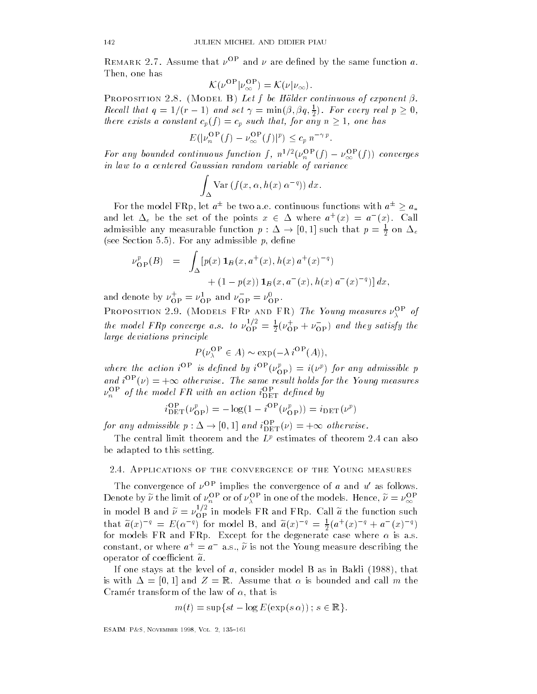REMARK 2.1. Assume that  $\nu$  and  $\nu$  are denned by the same function  $a$ . Then, one has

$$
\mathcal{K}(\nu^{\rm OP}|\nu_{\infty}^{\rm OP}) = \mathcal{K}(\nu|\nu_{\infty}).
$$

 $\mathcal{A}$  and  $\mathcal{A}$  and  $\mathcal{A}$  be Holder continuous of exponent  $\mathcal{A}$  and  $\mathcal{A}$ Recall that  $q = 1/(r - 1)$  and set  $\gamma = \min(\beta, \beta q, \frac{1}{2})$ . For every real  $p \ge 0$ , there exists a constant  $c_p(f) = c_p$  such that, for any  $n \geq 1$ , one has

$$
E(|\nu_n^{\text{OP}}(f) - \nu_\infty^{\text{OP}}(f)|^p) \le c_p n^{-\gamma p}.
$$

For any bounded continuous function f,  $n^{1/2}(\nu_n^{\text{OP}}(f) - \nu_{\infty}^{\text{OP}}(f))$  converges in law to a centered Gaussian random variable of variance

$$
\int_{\Delta} \text{Var} \left( f(x, \alpha, h(x) \alpha^{-q}) \right) dx.
$$

For the model FRp, let  $a^\pm$  be two a.e. continuous functions with  $a^\pm \geq a_*$ and let  $\Delta_e$  be the set of the points  $x \in \Delta$  where  $a^+(x) = a^-(x)$ . Call admissible any measurable function  $p: \Delta \to [0,1]$  such that  $p = \frac{1}{2}$  on  $\Delta_e$ (see Section 5.5). For any admissible  $p$ , define

$$
\nu_{\rm OP}^p(B) = \int_{\Delta} [p(x) \mathbf{1}_B(x, a^+(x), h(x) a^+(x)^{-q}) + (1 - p(x)) \mathbf{1}_B(x, a^-(x), h(x) a^-(x)^{-q})] dx,
$$

and denote by  $\nu_{\text{OP}}^{\top} = \nu_{\text{OP}}^{\text{L}}$  and  $\nu_{\text{OP}}^{\top} = \nu_{\text{OP}}^{\text{U}}$ .

**FROPOSITION 2.9.** (MODELS FRP AND FR) The Toung measures  $\nu_{\lambda}$  of the model FRp converge a.s. to  $v_{\rm OP}^{\gamma} = \frac{1}{2}(v_{\rm OP}^{\tau} + v_{\rm OP}^{-})$  and they satisfy the large deviations principle

$$
P(\nu_{\lambda}^{\mathbf{OP}} \in A) \sim \exp(-\lambda i^{\mathbf{OP}}(A)),
$$

where the action  $i^{\circ}$  is defined by  $i^{\circ}$  ( $\nu_{\text{OP}}$ ) =  $i(\nu^{\nu})$  for any admissible p<br>and  $i^{\text{OP}}(\nu) = +\infty$  otherwise. The same result holds for the Young measures  $\nu_n$  – of the model **FR** with an action  $\iota_{\text{DET}}$  aefined by

$$
i_{\text{DET}}^{\text{OP}}(\nu_{\text{OP}}^p) = -\log(1 - i^{\text{OP}}(\nu_{\text{OP}}^p)) = i_{\text{DET}}(\nu^p)
$$

for any admissible  $p : \Delta \to [0,1]$  and  $i_{\text{DET}}^{\text{OP}}(\nu) = +\infty$  otherwise.

The central limit theorem and the  $L^p$  estimates of theorem 2.4 can also be adapted to this setting

# Applications of the convergence of the Young measures

The convergence of  $\nu^{\text{OP}}$  implies the convergence of a and  $u'$  as follows. Denote by  $\nu$  the limit of  $\nu_n$  for of  $\nu_{\lambda}$  fin one of the models. Hence,  $\nu = \nu_{\infty}$ in model B and  $\nu = \nu_{\rm OP}^{\perp}$  in models FR and FRp. Call  $a$  the function such that  $a(x)^{-q} = E(\alpha^{-q})$  for model B, and  $a(x)^{-q} = \frac{1}{2}(a^+(x)^{-q} + a^-(x)^{-q})$ for models FR and FRp Except for the degenerate case where is as constant, or where  $a^+ = a^-$  a.s.,  $\nu$  is not the Young measure describing the operator of coefficient  $\tilde{a}$ .

If one stays at the level of  $a$ , consider model B as in Baldi (1988), that is with  $\equiv$   $\lceil v_1 |$  and  $\equiv$   $\lceil w_1 |$  and  $\lceil w_2 |$  must be the called and call model is the Cramér transform of the law of  $\alpha,$  that is

$$
m(t) = \sup\{st - \log E(\exp(s \alpha)) \; ; \; s \in \mathbb{R}\}.
$$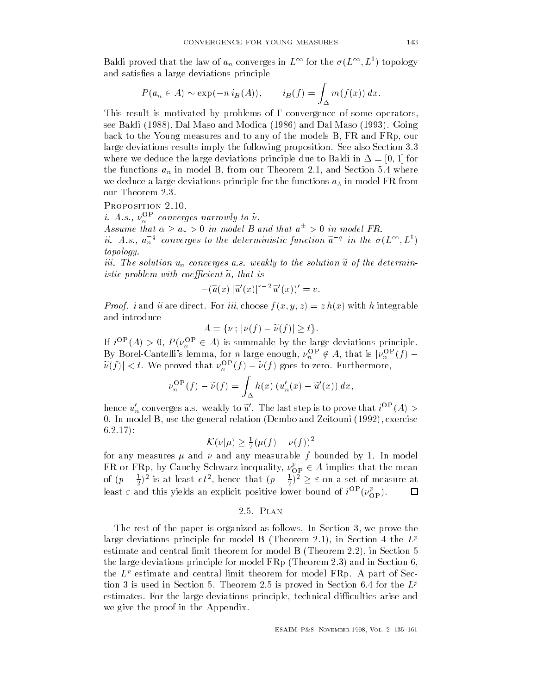Baldi proved that the law of  $a_n$  converges in  $L^\infty$  for the  $\sigma(L^\infty,L^1)$  topology and satisfies a large deviations principle

$$
P(a_n \in A) \sim \exp(-n i_B(A)), \qquad i_B(f) = \int_{\Delta} m(f(x)) dx.
$$

This result is motivated by problems of  $\Gamma$ -convergence of some operators, see Baldi (1988), Dal Maso and Modica (1986) and Dal Maso (1993). Going back to the Young measures and to any of the models B, FR and FRp, our large deviations results imply the following proposition. See also Section 3.3 where we deduce the large deviations principle due to Baldi in  $\mathbb{R}$  in  $\mathbb{R}$  in  $\mathbb{R}$  in  $\mathbb{R}$  in  $\mathbb{R}$  in  $\mathbb{R}$  in  $\mathbb{R}$  in  $\mathbb{R}$  in  $\mathbb{R}$  in  $\mathbb{R}$  in  $\mathbb{R}$  in  $\mathbb{R}$  in  $\mathbb{R}$  in  $\$ the functions  $a_n$  in model B, from our Theorem 2.1, and Section 5.4 where we deduce a large deviations principle for the functions  $a_{\lambda}$  in model FR from our Theorem 2.3.

*i.* A.s.,  $\nu_n$  converges narrowly to  $\nu$ .<br>Assume that  $\alpha \ge a_* > 0$  in model B and that  $a^{\pm} > 0$  in model FR. ii. A.s.,  $a_n^{-q}$  converges to the deterministic function  $\tilde{a}^{-q}$  in the  $\sigma(L^{\infty}, L^1)$ topology-

iii-ii-solution un convergent un convergent un der determine un de la solution un de la solution un de la solu istic problem with coefficient  $\tilde{a}$ , that is

$$
-(\widetilde{a}(x)\,|\widetilde{u}'(x)|^{r-2}\,\widetilde{u}'(x))'=v.
$$

Proof- i and ii are direct For iii choose f x y z z hx with h integrable and introduce For *iii*, choose  $f(x, y, z) = z h(x)$ <br> $A = \{v : |v(f) - \tilde{v}(f)| > t\}.$ 

$$
A = \{\nu \,;\, |\nu(f) - \widetilde{\nu}(f)| \ge t\}.
$$

If  $i^{\text{OP}}(A) > 0$ ,  $P(\nu_n^{\text{OP}} \in A)$  is summable by the large deviations principle. By Borel-Cantelli's lemma, for *n* large enough,  $\nu_n^{\text{OP}} \notin A$ , that is  $|\nu_n^{\text{OP}}(f) |\widetilde{\nu}(f)| < t.$  We proved that  $\nu_n^{\text{OP}}(f) - \widetilde{\nu}(f)$  goes to zero. Furthermore,

$$
\nu_n^{\text{OP}}(f) - \widetilde{\nu}(f) = \int_{\Delta} h(x) \left( u_n'(x) - \widetilde{u}'(x) \right) dx,
$$

hence  $u_n'$  converges a.s. weakly to  $\widetilde{u}'$ . The last step is to prove that  $i^{\text{OP}}(A) >$ 0. In model B, use the general relation (Dembo and Zeitouni (1992), exercise  $6.2.17$ ):

$$
\mathcal{K}(\nu|\mu) \ge \frac{1}{2}(\mu(f) - \nu(f))^2
$$

for any measures  $\mu$  and  $\nu$  and any measurable  $f$  bounded by 1. In model FR or FRp, by Cauchy-Schwarz inequality,  $\nu^p_{\text{OP}} \in A$  implies that the mean of  $(p - \frac{1}{2})^2$  is at least  $c t^2$ , hence that  $(p - \frac{1}{2})^2 \geq \varepsilon$  on a set of measure at least  $\varepsilon$  and this yields an explicit positive lower bound of  $i^{\rm OP}(\nu_{\rm OP}^p).$  $\Box$ 

# 2.5. PLAN

The rest of the paper is organized as follows. In Section 3, we prove the large deviations principle for model B (Theorem 2.1), in Section 4 the  $L^p$ estimate and central limit theorem for model  $B$  (Theorem 2.2), in Section  $5$ the large deviations principle for model  $FRp$  (Theorem 2.3) and in Section 6, the  $L^p$  estimate and central limit theorem for model FRp. A part of Section 3 is used in Section 5. Theorem 2.5 is proved in Section 6.4 for the  $L^p$ estimates. For the large deviations principle, technical difficulties arise and we give the proof in the Appendix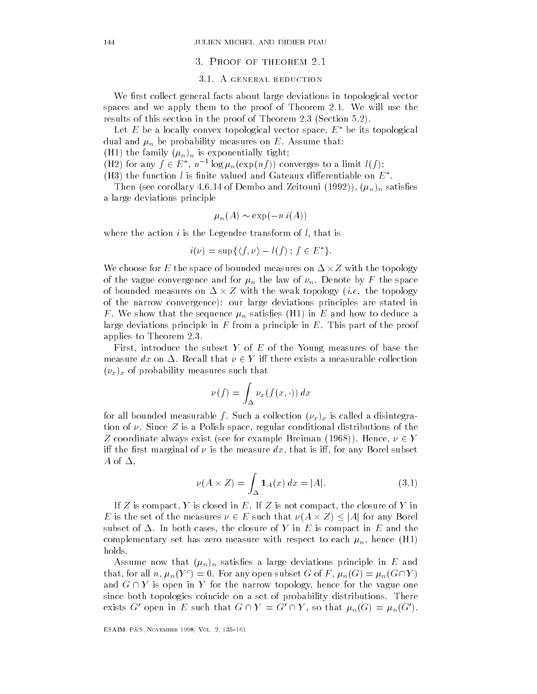#### 3. PROOF OF THEOREM 2.1

# 3.1. A GENERAL REDUCTION

We first collect general facts about large deviations in topological vector spaces and we apply them to the proof of Theorem 2.1. We will use the results of this section in the proof of Theorem 2.3 (Section 5.2).

Let E be a locally convex topological vector space,  $E^*$  be its topological dual and  $\mu_n$  be probability measures on E. Assume that:

(H1) the family  $(\mu_n)_n$  is exponentially tight;

(H2) for any  $f \in E^*$ ,  $n^{-1} \log \mu_n(\exp(n f))$  converges to a limit  $l(f)$ ;

(H3) the function  $l$  is finite valued and Gateaux differentiable on  $E^*.$ 

Then (see corollary 4.6.14 of Dembo and Zeitouni (1992)),  $(\mu_n)_n$  satisfies a large deviations principle

$$
\mu_n(A) \sim \exp(-n\,i(A))
$$

where the action is the action is the Legendre transform of l that is the Legendre transform of  $\mathbf{I}$ the Legendre transform of *l*, that is<br>  $i(\nu) = \sup\{\langle f, \nu \rangle - l(f) : f \in E^*\}.$ 

$$
i(\nu) = \sup\{\langle f, \nu\rangle - l(f) \; ; \; f \in E^*\}.
$$

We choose for  $E$  the space of bounded measures on  $\Delta\!\times\!Z$  with the topology of the vague convergence and for  $\mu_n$  the law of  $\nu_n$ . Denote by F the space of bounded measures on  $\Delta \times Z$  with the weak topology (*i.e.* the topology of the narrow convergence): our large deviations principles are stated in F. We show that the sequence  $\mu_n$  satisfies (H1) in  $E$  and how to deduce a large deviations principle in F from a principle in  $E$ . This part of the proof applies to Theorem

First, introduce the subset Y of E of the Young measures of base the measure  $dx$  on  $\Delta$ . Recall that  $\nu \in Y$  iff there exists a measurable collection  $(\nu_x)_x$  of probability measures such that

$$
\nu(f) = \int_{\Delta} \nu_x(f(x,\cdot)) \, dx
$$

for all bounded measurable f. Such a collection  $(\nu_x)_x$  is called a disintegration of  $\nu$ . Since Z is a Polish space, regular conditional distributions of the  $Z$  coordinate always exist (see for example Breiman (1968)). Hence,  $\nu \in Y$ iff the first marginal of  $\nu$  is the measure dx, that is iff, for any Borel subset A of -

$$
\nu(A \times Z) = \int_{\Delta} 1_A(x) dx = |A|.
$$
 (3.1)

If  $\Gamma$  is compact Y is compact Y is compact the compact the compact the compact the compact the compact the compact the compact the compact the compact the compact the compact the compact the compact the compact the compa  $L$ <br>If Z is compact, Y is closed in E. If Z is not compact, the closure of Y in<br>E is the set of the measures  $\nu \in E$  such that  $\nu(A \times Z) \le |A|$  for any Borel subset of - In both cases the closure of In both cases the closure of Y in E and the closure of Y in E and the complementary set has zero measure with respect to each  $\mu_n$ , hence (H1) holds

Assume now that  $(\mu_n)_n$  satisfies a large deviations principle in E and that, for all n,  $\mu_n(Y^c) = 0$ . For any open subset G of F,  $\mu_n(G) = \mu_n(G \cap Y)$ and  $G \cap Y$  is open in Y for the narrow topology, hence for the vague one since both topologies coincide on a set of probability distributions. There exists  $G'$  open in E such that  $G \cap Y = G' \cap Y$ , so that  $\mu_n(G) = \mu_n(G')$ .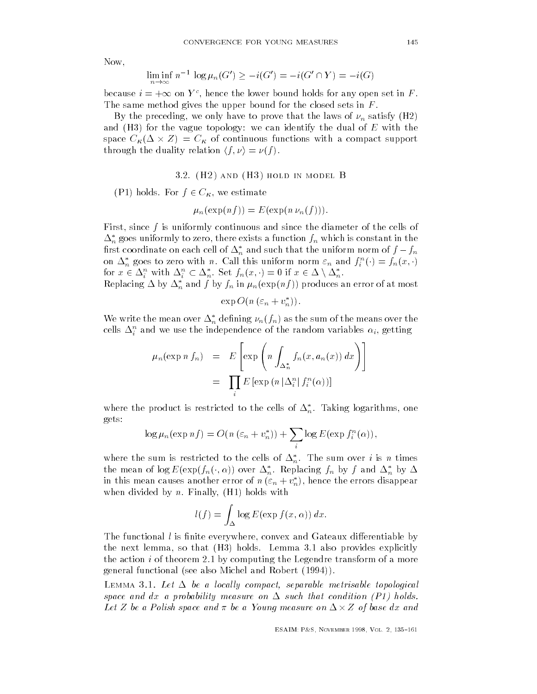Now

$$
\liminf_{n \to \infty} n^{-1} \log \mu_n(G') \ge -i(G') = -i(G' \cap Y) = -i(G)
$$

because  $i = +\infty$  on  $Y^c$ , hence the lower bound holds for any open set in F. The same method gives the upper bound for the closed sets in  $F$ .

By the preceding, we only have to prove that the laws of  $\nu_n$  satisfy (H2) and (H3) for the vague topology: we can identify the dual of  $E$  with the space  $C_{\kappa}(\Delta \times Z) = C_{\kappa}$  of continuous functions with a compact support through the duality relation  $\langle f, \nu \rangle = \nu(f)$ .

#### H- and H hold in model B

(P1) holds. For  $f \in C_{\kappa}$ , we estimate

$$
\mu_n(\exp(n f)) = E(\exp(n \nu_n(f))).
$$

First, since  $f$  is uniformly continuous and since the diameter of the cells of  $\Delta_n^*$  goes uniformly to zero, there exists a function  $f_n$  which is constant in the first coordinate on each cell of  $\Delta_n^*$  and such that the uniform norm of  $f-f_n$ on  $\Delta_n^*$  goes to zero with n. Call this uniform norm  $\varepsilon_n$  and  $f_i^n(\cdot) = f_n(x, \cdot)$ for  $x \in \Delta_i^n$  with  $\Delta_i^n \subset \Delta_n^*$ . Set  $f_n(x, \cdot) = 0$  if  $x \in \Delta \setminus \Delta_n^*$ .

Replacing  $\Delta$  by  $\Delta_n^*$  and  $f$  by  $f_n$  in  $\mu_n(\exp(n f))$  produces an error of at most

$$
\exp O(n\left(\varepsilon_n + v_n^*\right)).
$$

We write the mean over  $\Delta_n^*$  defining  $\nu_n(f_n)$  as the sum of the means over the cens  $\Delta_i$  and we use the independence of the random variables  $\alpha_i,$  getting

$$
\mu_n(\exp n f_n) = E\left[\exp\left(n \int_{\Delta_n^*} f_n(x, a_n(x)) dx\right)\right]
$$

$$
= \prod_i E\left[\exp\left(n \left|\Delta_i^n\right| f_i^n(\alpha)\right)\right]
$$

where the product is restricted to the cells of  $\Delta_n^*.$  Taking logarithms, one gets

$$
\log \mu_n(\exp nf) = O(n (\varepsilon_n + v_n^*)) + \sum_i \log E(\exp f_i^n(\alpha)),
$$

where the sum is restricted to the cells of  $\Delta_n^*$ . The sum over i is n times the mean of  $\log E(\exp(f_n(\cdot,\alpha))$  over  $\Delta_n^*$ . Replacing  $f_n$  by  $f$  and  $\Delta_n^*$  by  $\Delta$ in this mean causes another error of  $n (\varepsilon_n + v_n^*)$ , hence the errors disappear when divided by  $n$ . Finally,  $(H1)$  holds with

$$
l(f) = \int_{\Delta} \log E(\exp f(x, \alpha)) dx.
$$

The functional  $l$  is finite everywhere, convex and Gateaux differentiable by the next lemma, so that  $(H3)$  holds. Lemma 3.1 also provides explicitly the action  $i$  of theorem 2.1 by computing the Legendre transform of a more general functional (see also Michel and Robert (1994)).

Lemma Let - be a locally compact separable metrisable topological space and discussed and discussed and discussed and discussed and discussed and discussed and discussed and discussed and discussed and discussed and discussed and discussed and discussed and discussed and discussed and d Let Z be a Polish space and  $\pi$  be a Young measure on  $\Delta \times Z$  of base dx and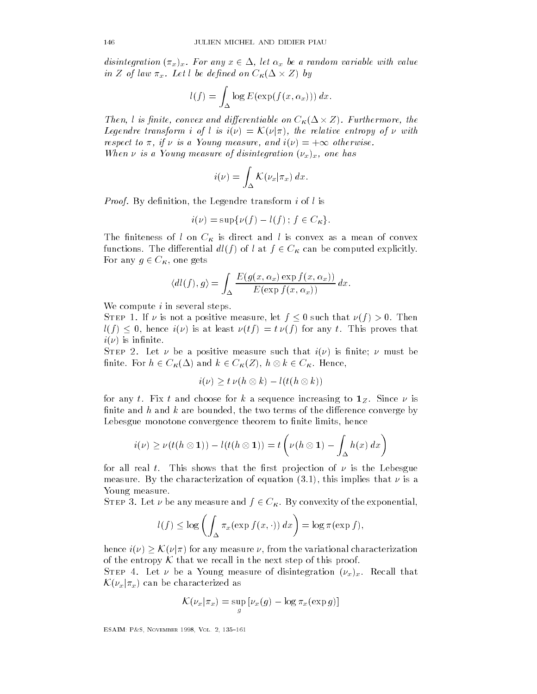disintegration  $(\pi_x)_x$ . For any  $x \in \Delta$ , let  $\alpha_x$  be a random variable with value in Z of law  $\pi_x$ . Let l be defined on  $C_{\kappa}(\Delta \times Z)$  by

$$
l(f) = \int_{\Delta} \log E(\exp(f(x, \alpha_x))) dx.
$$

Then, l is finite, convex and differentiable on  $C_{\kappa}(\Delta \times Z)$ . Furthermore, the Legendre transform i of l is  $i(\nu) = \mathcal{K}(\nu | \pi)$ , the relative entropy of  $\nu$  with respect to  $\pi$ , if  $\nu$  is a Young measure, and  $i(\nu) = +\infty$  otherwise. When  $\nu$  is a Young measure of disintegration  $(\nu_x)_x$ , one has

$$
i(\nu) = \int_{\Delta} \mathcal{K}(\nu_x | \pi_x) \, dx.
$$

Proof- By denition the Legendre transform i of l is

$$
i(\nu) = \sup \{ \nu(f) - l(f) \; ; \; f \in C_{\kappa} \}.
$$

The finiteness of l on  $C_{\kappa}$  is direct and l is convex as a mean of convex functions. The differential  $dl(f)$  of  $l$  at  $f\in C_{\boldsymbol{\kappa}}$  can be computed explicitly. For any  $g \in C_{\kappa}$ , one gets

$$
\langle dl(f), g \rangle = \int_{\Delta} \frac{E(g(x, \alpha_x) \exp f(x, \alpha_x))}{E(\exp f(x, \alpha_x))} dx.
$$

We compute  $i$  in several steps.

STEP 1. If  $\nu$  is not a positive measure, let  $f \leq 0$  such that  $\nu(f) > 0$ . Then  $l(f) \leq 0$ , hence  $i(\nu)$  is at least  $\nu(tf) = t \nu(f)$  for any t. This proves that  $i(\nu)$  is infinite.

Step - Let be a positive measure such that i is nite must be finite. For  $h \in C_{\kappa}(\Delta)$  and  $k \in C_{\kappa}(Z)$ ,  $h \otimes k \in C_{\kappa}$ . Hence,

$$
i(\nu) \ge t \nu(h \otimes k) - l(t(h \otimes k))
$$

for any t. Fix t and choose for k a sequence increasing to  $1_Z$ . Since  $\nu$  is finite and  $h$  and  $k$  are bounded, the two terms of the difference converge by Lebesgue monotone convergence theorem to finite limits, hence

$$
i(\nu) \geq \nu(t(h \otimes 1)) - l(t(h \otimes 1)) = t\left(\nu(h \otimes 1) - \int_{\Delta} h(x) dx\right)
$$

for all real  $t.$  This shows that the first projection of  $\nu$  is the Lebesgue measure. By the characterization of equation  $(3.1)$ , this implies that  $\nu$  is a Young measure

STEP 3. Let  $\nu$  be any measure and  $f \in C_{\kappa}$ . By convexity of the exponential,

$$
l(f) \leq \log \left( \int_{\Delta} \pi_x(\exp f(x, \cdot)) dx \right) = \log \pi(\exp f),
$$

hence  $i(\nu) > \mathcal{K}(\nu|\pi)$  for any measure  $\nu$ , from the variational characterization of the entropy K that we recall in the next step of this proof.

STEP 4. Let  $\nu$  be a Young measure of disintegration  $(\nu_x)_x$ . Recall that  $\mathcal{K}(\nu_x|\pi_x)$  can be characterized as

$$
\mathcal{K}(\nu_x|\pi_x) = \sup_g \left[\nu_x(g) - \log \pi_x(\exp g)\right]
$$

ESAIM- P
S November Vol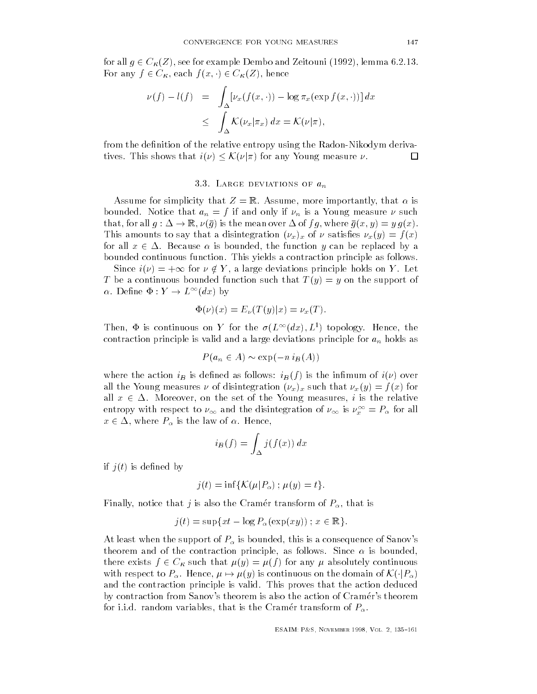for all  $q \in C_{\mathcal{B}}(Z)$ , see for example Dembo and Zeitouni (1992), lemma 6.2.13. For any  $f \in C_{\kappa}$ , each  $f(x, \cdot) \in C_{\kappa}(Z)$ , hence

$$
\nu(f) - l(f) = \int_{\Delta} \left[ \nu_x(f(x, \cdot)) - \log \pi_x(\exp f(x, \cdot)) \right] dx
$$
  

$$
\leq \int_{\Delta} \mathcal{K}(\nu_x | \pi_x) dx = \mathcal{K}(\nu | \pi),
$$

from the definition of the relative entropy using the Radon-Nikodym derivatives. This shows that  $i(\nu) \leq K(\nu|\pi)$  for any Young measure  $\nu$ .  $\Box$ 

# 3.3. LARGE DEVIATIONS OF  $a_n$

Assume for simplicity that  $Z = \mathbb{R}$ . Assume, more importantly, that  $\alpha$  is bounded. Notice that  $a_n = f$  if and only if  $\nu_n$  is a Young measure  $\nu$  such that, for all  $q: \Delta \to \mathbb{R}, \nu(\overline{q})$  is the mean over  $\Delta$  of  $fq$ , where  $\overline{q}(x, y) = y q(x)$ . This amounts to say that a disintegration  $(\nu_x)_x$  of  $\nu$  satisfies  $\nu_x(y) = f(x)$ for all  $x \in \Delta$ . Because  $\alpha$  is bounded, the function y can be replaced by a bounded continuous function. This yields a contraction principle as follows.

Since  $i(\nu) = +\infty$  for  $\nu \notin Y$ , a large deviations principle holds on Y. Let T be a continuous bounded function such that  $T(y) = y$  on the support of  $\alpha$ . Define  $\Phi: Y \to L^{\infty}(dx)$  by

$$
\Phi(\nu)(x) = E_{\nu}(T(y)|x) = \nu_x(T).
$$

Then,  $\Phi$  is continuous on Y for the  $\sigma(L^{\infty}(dx), L^{1})$  topology. Hence, the contraction principle is valid and a large deviations principle for  $a_n$  holds as

$$
P(a_n \in A) \sim \exp(-n i_B(A))
$$

where the action  $i_B$  is defined as follows:  $i_B(f)$  is the infimum of  $i(\nu)$  over all the Young measures  $\nu$  of disintegration  $(\nu_x)_x$  such that  $\nu_x(y) = f(x)$  for all  $x \in \Delta$ . Moreover, on the set of the Young measures, i is the relative entropy with respect to  $\nu_{\infty}$  and the disintegration of  $\nu_{\infty}$  is  $\nu_x^{\infty}=P_{\alpha}$  for all  $x \in \Delta$ , where  $P_\alpha$  is the law of  $\alpha$ . Hence,

$$
i_B(f) = \int_{\Delta} j(f(x)) dx
$$

if  $j(t)$  is defined by

$$
j(t) = \inf \{ \mathcal{K}(\mu | P_{\alpha}) \, ; \, \mu(y) = t \}.
$$

Finally, notice that j is also the Cramer transform of  $P_\alpha$ , that is

$$
j(t) = \sup\{xt - \log P_{\alpha}(\exp(xy))\}; x \in \mathbb{R}\}.
$$

At least when the support of P is bounded this is a consequence of Sanov s theorem and of the contraction principle, as follows. Since  $\alpha$  is bounded, there exists  $f \in C_{\kappa}$  such that  $\mu(y) = \mu(f)$  for any  $\mu$  absolutely continuous with respect to  $P_\alpha$ . Hence,  $\mu \mapsto \mu(y)$  is continuous on the domain of  $\mathcal{K}(\cdot|P_\alpha)$ and the contraction principle is valid. This proves that the action deduced by contraction from Sanov s theorem is also the action of Cramer s theorem for i.i.d. random variables, that is the Cramér transform of  $P_\alpha.$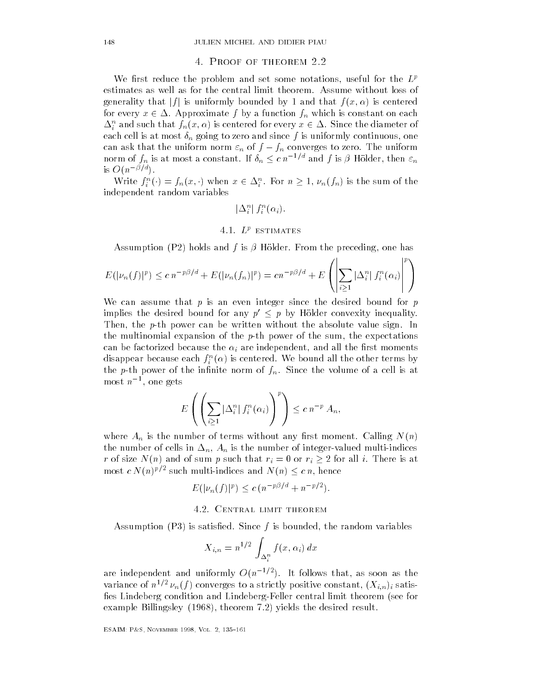#### 4. PROOF OF THEOREM 2.2

We first reduce the problem and set some notations, useful for the  $L^p$ estimates as well as for the central limit theorem Assume without loss of generality that  $|f|$  is uniformly bounded by 1 and that  $f(x, \alpha)$  is centered for every  $x \in \Delta$ . Approximate  $f$  by a function  $f_n$  which is constant on each  $\Delta^n_i$  and such that  $f_n(x,\alpha)$  is centered for every  $x\in\Delta.$  Since the diameter of  $\begin{array}{ccc} \text{if} & \text{if} & \text{if} & \text{if} & \text{if} & \text{if} & \text{if} & \text{if} & \text{if} & \text{if} & \text{if} & \text{if} & \text{if} & \text{if} & \text{if} & \text{if} & \text{if} & \text{if} & \text{if} & \text{if} & \text{if} & \text{if} & \text{if} & \text{if} & \text{if} & \text{if} & \text{if} & \text{if} & \text{if} & \text{if} & \text{if} & \text{if} & \text{if} & \text{if} & \text{if} & \text{$ can ask that the uniform norm  $\varepsilon_n$  of  $f - f_n$  converges to zero. The uniform norm of  $f_n$  is at most a constant. If  $\delta_n \leq c \, n^{-1/d}$  and  $f$  is  $\beta$  Hölder, then  $\varepsilon_n$ is  $O(n^{-\beta/d})$ .

Write  $f_i^n(\cdot) = f_n(x, \cdot)$  when  $x \in \Delta_i^n$ . For  $n \geq 1$ ,  $\nu_n(f_n)$  is the sum of the independent random variables

$$
\|\Delta^n_i\|f^n_i(\alpha_i).
$$

# 4.1.  $L^p$  estimates

Assumption (P2) holds and f is  $\beta$  Hölder. From the preceding, one has

$$
E(|\nu_n(f)|^p) \le c n^{-p\beta/d} + E(|\nu_n(f_n)|^p) = cn^{-p\beta/d} + E\left(\left|\sum_{i\geq 1}|\Delta_i^n|f_i^n(\alpha_i)\right|^p\right)
$$

We can assume that  $p$  is an even integer since the desired bound for  $p$ implies the desired bound for any  $p' \leq p$  by Hölder convexity inequality. Then, the p-th power can be written without the absolute value sign. In the multinomial expansion of the  $p$ -th power of the sum, the expectations can be factorized because the  $\alpha_i$  are independent, and all the first moments disappear because each  $f_i^-(\alpha)$  is centered. We bound an the other terms by the p-th power of the infinite norm of  $f_n$ . Since the volume of a cell is at most  $n^{-1}$ , one gets

$$
E\left(\left(\sum_{i\geq 1}|\Delta_i^n|f_i^n(\alpha_i)\right)^p\right)\leq c\,n^{-p}\,A_n,
$$

where  $A_n$  is the number of terms without any first moment. Calling  $N(n)$  $\begin{bmatrix} 1 & 1 \\ 0 & 1 \end{bmatrix}$  in  $\begin{bmatrix} 0 & 1 \\ 0 & 1 \end{bmatrix}$  in  $\begin{bmatrix} 0 & 1 \\ 0 & 1 \end{bmatrix}$ r of size  $N(n)$  and of sum p such that  $r_i = 0$  or  $r_i \geq 2$  for all i. There is at most  $c N(n)^{p/2}$  such multi-indices and  $N(n) \leq c n$ , hence

$$
E(|\nu_n(f)|^p) \le c (n^{-p\beta/d} + n^{-p/2}).
$$

#### 4.2. CENTRAL LIMIT THEOREM

Assumption (P3) is satisfied. Since f is bounded, the random variables

$$
X_{i,n} = n^{1/2} \int_{\Delta_i^n} f(x, \alpha_i) \, dx
$$

are independent and uniformly  $O(n^{-1/2})$ . It follows that, as soon as the variance of  $n \in \nu_n(j)$  converges to a strictly positive constant,  $(X_{i,n})_i$  satisfies Lindeberg condition and Lindeberg-Feller central limit theorem (see for example Billingsley (1968), theorem 7.2) yields the desired result.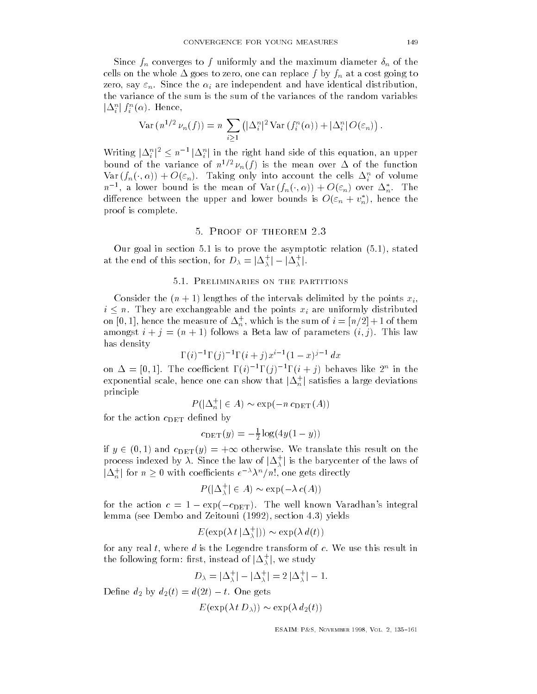$\mathcal{S}$  for an of the maximum diameter to function  $\mathcal{S}$ cells on the whole cost going to a cost going to a cost going to a cost going to a cost going to a cost going t zero, say  $\varepsilon_n$ . Since the  $\alpha_i$  are independent and have identical distribution, the variance of the sum is the sum of the variances of the random variables  $\left\vert \Delta _{i}^{n}\right\vert f_{i}^{n}(\alpha ).$  Hence,

$$
\text{Var}\left(n^{1/2} \nu_n(f)\right) = n \sum_{i \geq 1} \left( |\Delta_i^n|^2 \text{Var}\left(f_i^n(\alpha)\right) + |\Delta_i^n| O(\varepsilon_n)\right).
$$

Writing  $|\Delta_i^n|^2 \leq n^{-1} |\Delta_i^n|$  in the right hand side of this equation, an upper bound of the variance of  $n \in \nu_n(f)$  is the mean over  $\Delta$  of the function  $\text{Var}\left(f_n(\cdot,\alpha)\right) + O(\varepsilon_n).$  Taking only into account the cells  $\Delta_i^n$  of volume  $n^{-1}$ , a lower bound is the mean of  $\text{Var}(f_n(\cdot,\alpha)) + O(\varepsilon_n)$  over  $\Delta_n^*$ . The difference between the upper and lower bounds is  $O(\varepsilon_n + v_n^*) ,$  hence the proof is complete

Our goal in section 5.1 is to prove the asymptotic relation  $(5.1)$ , stated at the end of this section, for  $D_{\lambda} = |\Delta_{\lambda}^{+}| - |\Delta_{\lambda}^{+}|$ .

# 5.1. PRELIMINARIES ON THE PARTITIONS

Consider the  $(n + 1)$  lengthes of the intervals delimited by the points  $x_i$ ,  $i \leq n$ . They are exchangeable and the points  $x_i$  are uniformly distributed on  $[0, 1]$ , nence the measure of  $\Delta_n$ , which is the sum of  $i = [n/2] + 1$  of them amongst  $i + j = (n + 1)$  follows a Beta law of parameters  $(i, j)$ . This law has density

$$
\Gamma(i)^{-1} \Gamma(j)^{-1} \Gamma(i+j) x^{i-1} (1-x)^{j-1} dx
$$

on  $\Delta = [0,1]$ . The coefficient  $\Gamma(i)$   $\Gamma(j)$   $\Gamma(i+j)$  behaves like  $2^n$  in the exponential scale, hence one can show that  $|\Delta_n^+|$  satisfies a large deviations<br>principle<br> $P(|\Delta_n^+| \in A) \sim \exp(-n \, c_{\text{DET}}(A))$ principle

$$
P(|\Delta_n^+| \in A) \sim \exp(-n \, c_{\text{DET}}(A))
$$

for the action  $c_{\mathrm{DET}}$  defined by

$$
c_{\text{DET}}(y) = -\frac{1}{2}\log(4y(1-y))
$$

if  $y \in (0, 1)$  and  $c_{\text{DET}}(y) = +\infty$  otherwise. We translate this result on the process indexed by  $\lambda.$  Since the law of  $|\Delta^+_\lambda|$  is the barycenter of the laws of  $|\Delta_n^+|$  for  $n\geq 0$  with coefficients  $e^{-\lambda}\lambda^n/n!$ , one gets directly the raw or  $|\Delta_{\lambda}|$  is the bary<br>nts  $e^{-\lambda} \lambda^n/n!$ , one gets dire<br> $\frac{1}{\lambda} | \in A$ ) ~ exp( $-\lambda c(A)$ )

$$
P(|\Delta_{\lambda}^{+}| \in A) \sim \exp(-\lambda c(A))
$$

for the action  $c = 1 - \exp(-c_{\text{DET}})$ . The well known Varadhan's integral lemma (see Dembo and Zeitouni (1992), section 4.3) yields

$$
E(\exp(\lambda t \, |\Delta_\lambda^+|)) \sim \exp(\lambda \, d(t))
$$

for any real t, where a is the Legendre transform of c. We use this result in<br>the following form: first, instead of  $|\Delta_{\lambda}^{+}|$ , we study<br> $D_{\lambda} = |\Delta_{\lambda}^{+}| - |\Delta_{\lambda}^{+}| = 2 |\Delta_{\lambda}^{+}| - 1.$ the following form: first, instead of  $|\Delta^+_\lambda|,$  we study

$$
D_{\lambda} = |\Delta_{\lambda}^{+}| - |\Delta_{\lambda}^{+}| = 2 |\Delta_{\lambda}^{+}| - 1
$$

Define  $d_2$  by  $d_2(t) = d(2t) - t$ . One gets

$$
E(\exp(\lambda t D_\lambda)) \sim \exp(\lambda d_2(t))
$$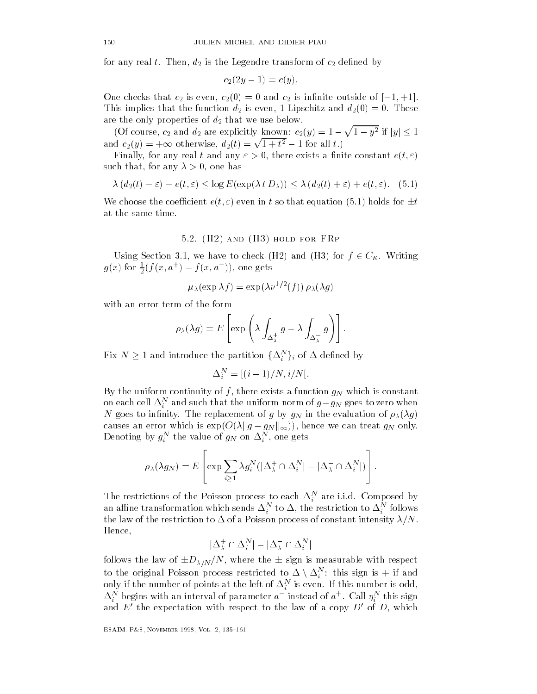for any real  $t.$  Then,  $d_2$  is the Legendre transform of  $c_2$  defined by

$$
c_2(2y-1) = c(y).
$$

One checks that  $c_2$  is even,  $c_2(0) = 0$  and  $c_2$  is infinite outside of  $[-1, +1]$ . This implies that the function  $d_2$  is even, 1-Lipschitz and  $d_2(0) = 0$ . These are the only properties of  $d_2$  that we use below. is implies that the function  $d_2$  is even, 1-Lipschitz and  $d_2(0) = 0$ . These<br>explicitly known:  $c_2(y) = 1 - \sqrt{1 - y^2}$  if  $|y| \le 1$ 

(Or course,  $c_2$  and  $a_2$  are explicitly known:  $c_2(y) = 1 - \sqrt{1 + c^2}$ <br>and  $c_2(y) = +\infty$  otherwise,  $d_2(t) = \sqrt{1 + t^2} - 1$  for all t.)

Finally, for any real t and any  $\varepsilon > 0$ , there exists a finite constant  $e(t, \varepsilon)$ such that, for any  $\lambda > 0$ , one has

$$
\lambda (d_2(t) - \varepsilon) - e(t, \varepsilon) \le \log E(\exp(\lambda t D_\lambda)) \le \lambda (d_2(t) + \varepsilon) + e(t, \varepsilon).
$$
 (5.1)

We choose the coefficient  $e(t, \varepsilon)$  even in t so that equation (5.1) holds for  $\pm t$ at the same time

#### $\blacksquare$  . The fraction for  $\blacksquare$

Using Section 3.1, we have to check (H2) and (H3) for  $f \in C_{\kappa}$ . Writing  $g(x)$  for  $\frac{1}{2}(f(x,a^+) - f(x,a^-))$ , one gets

$$
\mu_{\lambda}(\exp \lambda f) = \exp(\lambda \nu^{1/2}(f)) \rho_{\lambda}(\lambda g)
$$

with an error term of the form

$$
\rho_{\lambda}(\lambda g) = E\left[\exp\left(\lambda \int_{\Delta_{\lambda}^{+}} g - \lambda \int_{\Delta_{\lambda}^{-}} g\right)\right].
$$

Fix  $N\geq 1$  and introduce the partition  $\{\Delta_i^N\}_i$  of  $\Delta$  defined by

$$
\Delta_i^N = [(i-1)/N, i/N].
$$

By the uniform continuity of f, there exists a function  $g_N$  which is constant on each cell  $\Delta^N_i$  and such that the uniform norm of  $g-g_N$  goes to zero when N goes to infinity. The replacement of g by  $g_N$  in the evaluation of  $\rho_{\lambda}(\lambda g)$ causes an error which is  $\exp(O(\lambda \|g - g_N\|_{\infty}))$ , hence we can treat  $g_N$  only. Denoting by  $g_i^{\ldots}$  the value of  $g_N$  on  $\Delta_i^{\ldots}$ , one gets

$$
\rho_{\lambda}(\lambda g_N) = E\left[\exp \sum_{i \geq 1} \lambda g_i^N (|\Delta_{\lambda}^{\pm} \cap \Delta_i^N| - |\Delta_{\lambda}^{-} \cap \Delta_i^N|)\right].
$$

The restrictions of the Poisson process to each  $\Delta_i$  are i.i.d. Composed by an anime transformation which sends  $\Delta_i^{\perp}$  to  $\Delta$ , the restriction to  $\Delta_i^{\perp}$  follows the law of the restriction to - of a poist process of constant intensity  $\mathcal{N}_1$  ,  $\mathcal{N}_2$ Hence

$$
|\Delta_\lambda^+\cap\Delta_i^N|-|\Delta_\lambda^-\cap\Delta_i^N|
$$

follows the law of  $\pm D_{\lambda/N}/N,$  where the  $\pm$  sign is measurable with respect to the original Poisson process restricted to  $\Delta \setminus \Delta^N_i:$  this sign is  $+$  if and only if the number of points at the left of  $\Delta_i$  is even. If this number is odd,  $\Delta_i^{\scriptscriptstyle \pm}$  begins with an interval of parameter  $a^-$  instead of  $a^+$  . Call  $\eta_i^{\scriptscriptstyle \pm}$  this sign and  $E'$  the expectation with respect to the law of a copy  $D'$  of D, which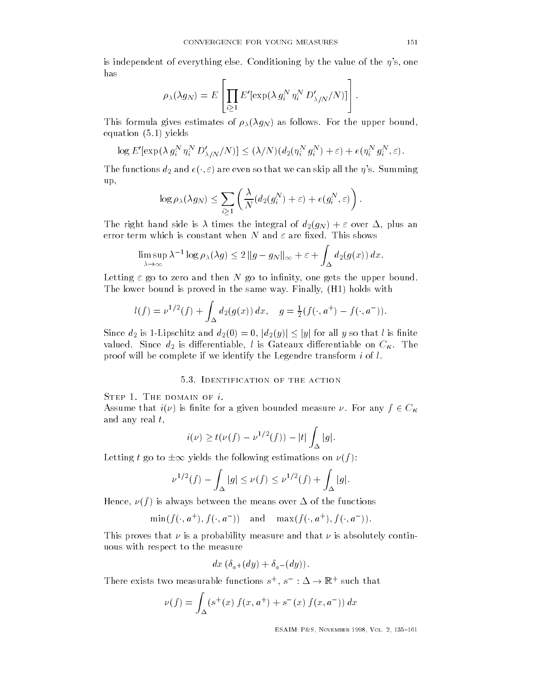is independent of everything else Conditioning by the value of the s one has

$$
\rho_{\lambda}(\lambda g_N) = E\left[\prod_{i\geq 1} E'[\exp(\lambda g_i^N \eta_i^N D'_{\lambda/N}/N)]\right].
$$

This formula gives estimates of  $\rho_{\lambda}(\lambda g_N)$  as follows. For the upper bound, equation  $(5.1)$  yields

$$
\log E'[\exp(\lambda g_i^N \eta_i^N D'_{\lambda/N}/N)] \le (\lambda/N)(d_2(\eta_i^N g_i^N) + \varepsilon) + e(\eta_i^N g_i^N, \varepsilon).
$$

The functions  $d_2$  and  $e(\cdot,\varepsilon)$  are even so that we can skip all the  $\eta$ 's. Summing up

$$
\log \rho_\lambda(\lambda g_N) \leq \sum_{i \geq 1} \left( \frac{\lambda}{N} (d_2(g_i^N) + \varepsilon) + e(g_i^N, \varepsilon) \right).
$$

The right hand side is the integral of distribution of distribution  $\mathcal{L}(\mathcal{A})$  and distribution  $\mathcal{L}(\mathcal{A})$  and distribution of distribution of distribution  $\mathcal{L}(\mathcal{A})$ error term which is constant when N and  $\varepsilon$  are fixed. This shows

$$
\limsup_{\lambda \to \infty} \lambda^{-1} \log \rho_{\lambda}(\lambda g) \leq 2 \|g - g_N\|_{\infty} + \varepsilon + \int_{\Delta} d_2(g(x)) dx.
$$

Letting  $\varepsilon$  go to zero and then  $N$  go to infinity, one gets the upper bound. The lower bound is proved in the same way. Finally,  $(H1)$  holds with

$$
l(f) = \nu^{1/2}(f) + \int_{\Delta} d_2(g(x)) dx, \quad g = \frac{1}{2}(f(\cdot, a^+) - f(\cdot, a^-)).
$$

Since  $d_2$  is 1-Lipschitz and  $d_2(0) = 0$ ,  $|d_2(y)| \le |y|$  for all y so that l is finite valued. Since  $d_2$  is differentiable, l is Gateaux differentiable on  $C_K$ . The proof will be complete if we identify the Legendre transform  $i$  of  $l$ .

### 5.3. IDENTIFICATION OF THE ACTION

STEP 1. THE DOMAIN OF  $i$ .

Assume that  $i(\nu)$  is finite for a given bounded measure  $\nu$ . For any  $f \in C_{\kappa}$ and any real  $t$ , formation increases to  $f(t) = |t| \int |g|$ .

$$
i(\nu) \geq t(\nu(f) - \nu^{1/2}(f)) - |t| \int_{\Delta} |g|.
$$

Letting t go to  $\pm\infty$  yields the following estimations on  $\nu(f)$ :

$$
\pm \infty \text{ yields the following estimations on } \nu(f):
$$
  

$$
\nu^{1/2}(f) - \int_{\Delta} |g| \leq \nu(f) \leq \nu^{1/2}(f) + \int_{\Delta} |g|.
$$

 $\mathbf{H} = \mathbf{H} \mathbf{H}$ 

$$
\min(f(\cdot,a^+),f(\cdot,a^-))\quad\text{and}\quad \max(f(\cdot,a^+),f(\cdot,a^-)).
$$

This proves that  $\nu$  is a probability measure and that  $\nu$  is absolutely continuous with respect to the measure

$$
dx\left(\delta_{a^+}(dy)+\delta_{a^-}(dy)\right).
$$

There exists two measurable functions  $s^+$ ,  $s^-$  :  $\Delta \to \mathbb{R}^+$  such that

$$
\nu(f) = \int_{\Delta} (s^+(x) f(x, a^+) + s^-(x) f(x, a^-)) dx
$$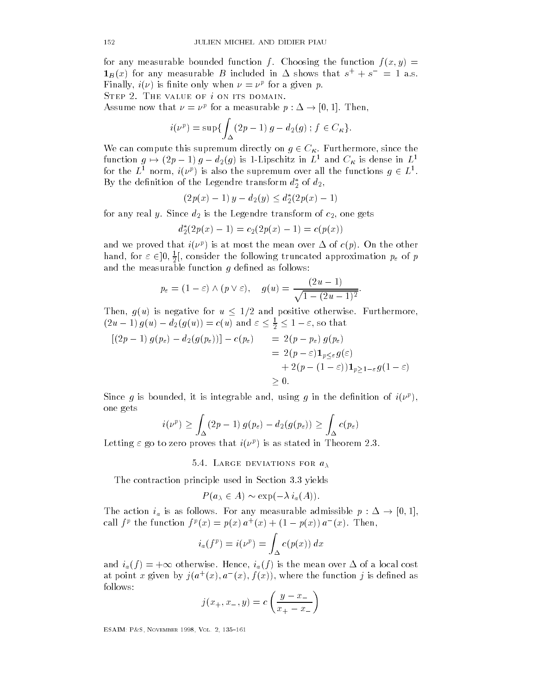for any measurable bounded function f. Choosing the function  $f(x, y) =$  $\mathbf{1}_B(x)$  for any measurable B included in  $\Delta$  shows that  $s^+ + s^- = 1$  a.s. **Finally,**  $i(\nu)$  **is initie only when**  $\nu = \nu^i$  **for a given**  $p$ **.** 

Assume now that  $\nu = \nu^p$  for a measurable  $p : \Delta \to [0,1]$ . Then,

$$
i(\nu^{p}) = \sup \{ \int_{\Delta} (2p - 1) g - d_{2}(g) ; f \in C_{\kappa} \}.
$$

We can compute this supremum directly on  $g \in C_{\kappa}$ . Furthermore, since the function  $g \mapsto (2p - 1) g - d_2(g)$  is 1-Lipschitz in  $L^1$  and  $C_K$  is dense in  $L^1$ for the  $L^1$  norm,  $i(\nu^p)$  is also the supremum over all the functions  $q \in L^1$ . By the definition of the Legendre transform  $d_2^\ast$  of  $d_2, \quad$ 

$$
(2p(x) - 1) y - d_2(y) \le d_2^*(2p(x) - 1)
$$

for any real  $y.$  Since  $d_2$  is the Legendre transform of  $c_2,$  one gets

$$
d_2^*(2p(x) - 1) = c_2(2p(x) - 1) = c(p(x))
$$

and we proved that  $i(\nu)$  is at most the mean over  $\Delta$  of  $c(\bar p)$ . On the other hand, for  $\varepsilon \in ]0, \frac{1}{2}[$ , consider the following truncated approximation  $p_{\varepsilon}$  of  $p$ and the measurable function g density  $\alpha$  denotes the measurable function g density  $\alpha$ 

$$
p_{\varepsilon} = (1 - \varepsilon) \wedge (p \vee \varepsilon), \quad g(u) = \frac{(2u - 1)}{\sqrt{1 - (2u - 1)^2}}.
$$

Then,  $g(u)$  is negative for  $u \leq 1/2$  and positive otherwise. Furthermore,  $(2u - 1) g(u) - d_2(g(u)) = c(u)$  and  $\varepsilon \leq \frac{1}{2} \leq 1 - \varepsilon$ , so that

$$
[(2p - 1) g(p_{\varepsilon}) - d_2(g(p_{\varepsilon}))] - c(p_{\varepsilon}) = 2(p - p_{\varepsilon}) g(p_{\varepsilon})
$$
  
= 2(p - \varepsilon) \mathbf{1}\_{p \le \varepsilon} g(\varepsilon)  
+ 2(p - (1 - \varepsilon)) \mathbf{1}\_{p \ge 1 - \varepsilon} g(1 - \varepsilon)  

$$
\ge 0.
$$

Since q is bounded, it is integrable and, using q in the denition of  $i(\nu^*)$ , one gets

$$
i(\nu^p) \ge \int_{\Delta} (2p - 1) g(p_{\varepsilon}) - d_2(g(p_{\varepsilon})) \ge \int_{\Delta} c(p_{\varepsilon})
$$

Letting  $\varepsilon$  go to zero proves that  $i(\nu)$  is as stated in Theorem 2.5.

5.4. LARGE DEVIATIONS FOR  $a_{\lambda}$ 

The contraction principle used in Section 3.3 yields

$$
P(a_{\lambda} \in A) \sim \exp(-\lambda i_a(A)).
$$

The action  $i_a$  is as follows. For any measurable admissible  $p : \Delta \to [0, 1],$ call  $f^p$  the function  $f^p(x) = p(x) a^+(x) + (1 - p(x)) a^-(x)$ . Then,

$$
i_a(f^p) = i(\nu^p) = \int_{\Delta} c(p(x)) dx
$$

and  $i_a(f) = +\infty$  otherwise. Hence,  $i_a(f)$  is the mean over  $\Delta$  of a local cost at point x given by  $\eta(a^{\top}(x), a^{\top}(x), f(x))$ , where the function  $\eta$  is defined as follows

$$
j(x_{+}, x_{-}, y) = c \left( \frac{y - x_{-}}{x_{+} - x_{-}} \right)
$$

ESAIM- P
S November Vol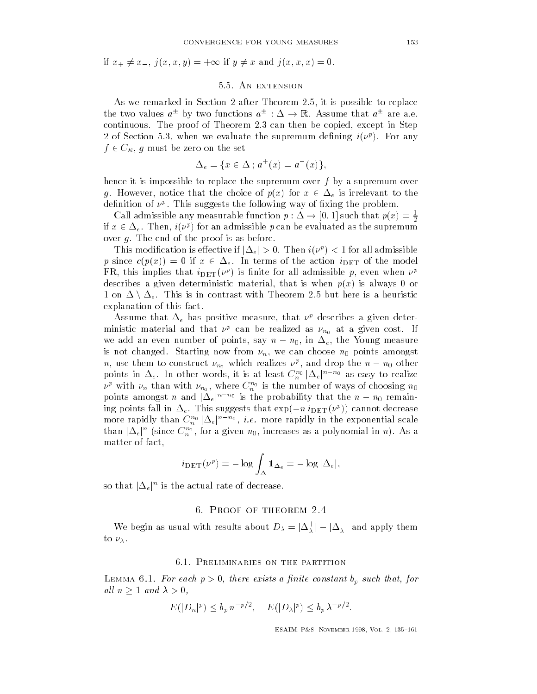if  $x_+ \neq x_-, j(x, x, y) = +\infty$  if  $y \neq x$  and  $j(x, x, x) = 0$ .

# 5.5. AN EXTENSION

As we remarked in Section 2 after Theorem 2.5, it is possible to replace the two values  $a^{\pm}$  by two functions  $a^{\pm}$  :  $\Delta \rightarrow \mathbb{R}$ . Assume that  $a^{\pm}$  are a.e. continuous. The proof of Theorem 2.3 can then be copied, except in Step  $\angle$  of Section 5.5, when we evaluate the supremum denning  $i(\nu^*)$ . For any  $f \in C_{\kappa}$ , g must be zero on the set

$$
\Delta_e = \{ x \in \Delta \, ; \, a^+(x) = a^-(x) \},
$$

hence it is impossible to replace the supremum over f by a supremum over g. However, notice that the choice of  $p(x)$  for  $x \in \Delta_e$  is irrelevant to the denition of  $\nu$  . This suggests the following way of fixing the problem.

Call admissible any measurable function  $p : \Delta \to [0, 1]$  such that  $p(x) = \frac{1}{2}$ if  $x \in \Delta_e$ . Then,  $i(\nu^p)$  for an admissible p can be evaluated as the supremum over  $g$ . The end of the proof is as before.

This modification is effective if  $|\Delta_e| > 0$ . Then  $i(\nu^p) < 1$  for all admissible p since  $c(p(x)) = 0$  if  $x \in \Delta_e$ . In terms of the action  $i_{\text{DET}}$  of the model  $\mathbf{r}$   $\mathbf{r}$ , this implies that  $i$   $\mathrm{p}_{\mathrm{ET}}(\nu^{\mu})$  is inite for all admissible  $p$ , even when  $\nu^{\mu}$ describes a given deterministic material, that is when  $p(x)$  is always 0 or 1 on  $\Delta \setminus \Delta_e$ . This is in contrast with Theorem 2.5 but here is a heuristic explanation of this fact

Assume that  $\Delta_e$  has positive measure, that  $\nu_e$  describes a given deterministic material and that  $\nu^p$  can be realized as  $\nu_{n_0}$  at a given cost. If we add an even number of points, say  $n - n_0$ , in  $\Delta_e$ , the Young measure is not changed. Starting now from  $\nu_n$ , we can choose  $n_0$  points amongst *n*, use them to construct  $\nu_{n_0}$  which realizes  $\nu^p$ , and drop the  $n - n_0$  other points in  $\Delta_e$ . In other words, it is at least  $C_n^{n_0} \, |\Delta_e|^{n-n_0}$  as easy to realize  $\nu$  with  $\nu_n$  than with  $\nu_{n_0}$ , where  $C_n$  is the number of ways of choosing  $n_0$ points amongst *n* and  $|\Delta_e|^{n-n_0}$  is the probability that the  $n - n_0$  remaining points fall in  $\Delta_e$ . This suggests that  $\exp(-n\;i_{\text{DET}}(\nu^p))$  cannot decrease more rapidly than  $C_n^{n_0} \, |\Delta_e|^{n-n_0}, \; i.e.$  more rapidly in the exponential scale than  $|\Delta_e|^n$  (since  $C_n^{n_0},$  for a given  $n_0,$  increases as a polynomial in  $n).$  As a matter of fact

$$
i_{\text{DET}}(\nu^p) = -\log \int_{\Delta} \mathbf{1}_{\Delta_e} = -\log |\Delta_e|,
$$

so that  $|\Delta_e|^n$  is the actual rate of decrease.

#### $\sim$  -  $\sim$  -  $\sim$  -  $\sim$  -  $\sim$  -  $\sim$  -  $\sim$

We begin as usual with results about  $D_\lambda=|\Delta_\lambda^+|-|\Delta_\lambda^-|$  and apply them to  $\nu_{\lambda}$ .

#### 6.1. PRELIMINARIES ON THE PARTITION

 $\blacksquare$ all  $n \geq 1$  and  $\lambda > 0$ ,

$$
E(|D_n|^p) \le b_p n^{-p/2}, \quad E(|D_\lambda|^p) \le b_p \lambda^{-p/2}.
$$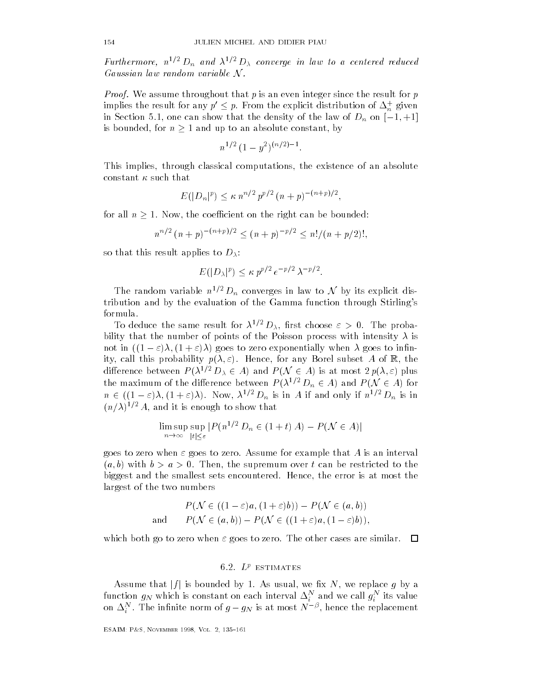Furthermore,  $n^{1/2} D_n$  and  $\lambda^{1/2} D_\lambda$  converge in law to a centered reduced Gaussian law random variable  $N$ .

Proof- We assume throughout that p is an even integer since the result for p implies the result for any  $p'\leq p.$  From the explicit distribution of  $\Delta_n^+$  given in Section 5.1, one can show that the density of the law of  $D_n$  on  $[-1, +1]$ is bounded, for  $n \geq 1$  and up to an absolute constant, by

$$
n^{1/2} (1 - y^2)^{(n/2)-1}.
$$

This implies, through classical computations, the existence of an absolute constant  $\kappa$  such that

$$
E(|D_n|^p) \le \kappa n^{n/2} p^{p/2} (n+p)^{-(n+p)/2},
$$

for all  $n \geq 1$ . Now, the coefficient on the right can be bounded:

$$
n^{n/2} (n+p)^{-(n+p)/2} \le (n+p)^{-p/2} \le n!/(n+p/2)!,
$$

so that this result applies to  $D_{\lambda}$ :

$$
E(|D_\lambda|^p) \le \kappa p^{p/2} e^{-p/2} \lambda^{-p/2}.
$$

The random variable  $n^{1/2} D_n$  converges in law to N by its explicit disthe evaluation and by the evaluation of the Gamma function of the Gamma function  $\mathcal{U}$ 

To deduce the same result for  $\lambda \in D_\lambda$ , first choose  $\varepsilon > 0$ . The probability that the number of points of the Poisson process with intensity  $\lambda$  is not in  $((1 - \varepsilon)\lambda, (1 + \varepsilon)\lambda)$  goes to zero exponentially when  $\lambda$  goes to infinity, call this probability  $p(\lambda, \varepsilon)$ . Hence, for any Borel subset A of R, the not in  $((1 - \varepsilon)\lambda, (1 + \varepsilon)\lambda)$  goes to zero exponentially when  $\lambda$  goes to infin-<br>ity, call this probability  $p(\lambda, \varepsilon)$ . Hence, for any Borel subset A of  $\mathbb{R}$ , the<br>difference between  $P(\lambda^{1/2} D_{\lambda} \in A)$  and  $P(\mathcal{N} \$ ity, call this probability  $p(\lambda, \varepsilon)$ . Hence, for any Borel subset A of  $\mathbb{R}$ , the difference between  $P(\lambda^{1/2} D_{\lambda} \in A)$  and  $P(\mathcal{N} \in A)$  is at most  $2p(\lambda, \varepsilon)$  plus the maximum of the difference between  $P(\lambda^{1/2} D$  $n \in ((1-\varepsilon)\lambda, (1+\varepsilon)\lambda)$ . Now,  $\lambda^{1/2} D_n$  is in A if and only if  $n^{1/2} D_n$  is in  $\left(n/\lambda\right)$   $^{\prime}$   $\left(A,$  and it is enough to show that igh to show that<br> $|P(n^{1/2} D_n \in (1 + t) A) - P(\mathcal{N} \in A)|$ 

$$
\limsup_{n \to \infty} \sup_{|t| \le \varepsilon} |P(n^{1/2} D_n \in (1+t) A) - P(\mathcal{N} \in A)|
$$

goes to zero when  $\varepsilon$  goes to zero. Assume for example that A is an interval  $(a, b)$  with  $b > a > 0$ . Then, the supremum over t can be restricted to the biggest and the smallest sets encountered. Hence, the error is at most the largest of the two numbers umbers<br>  $P(\mathcal{N} \in ((1 - \varepsilon)a, (1 + \varepsilon)b)) - P(\mathcal{N} \in (a, b))$ 

$$
P(\mathcal{N} \in ((1 - \varepsilon)a, (1 + \varepsilon)b)) - P(\mathcal{N} \in (a, b))
$$
  
and 
$$
P(\mathcal{N} \in (a, b)) - P(\mathcal{N} \in ((1 + \varepsilon)a, (1 - \varepsilon)b)),
$$

which both go to zero when  $\varepsilon$  goes to zero. The other cases are similar.  $\Box$ 

# 6.2.  $L^p$  estimates

Assume that  $|f|$  is bounded by 1. As usual, we fix N, we replace g by a function  $g_N$  which is constant on each interval  $\Delta_i^-$  and we call  $g_i^-$  its value on  $\Delta^N_i.$  The infinite norm of  $g-g_N$  is at most  $N^{-\beta},$  hence the replacement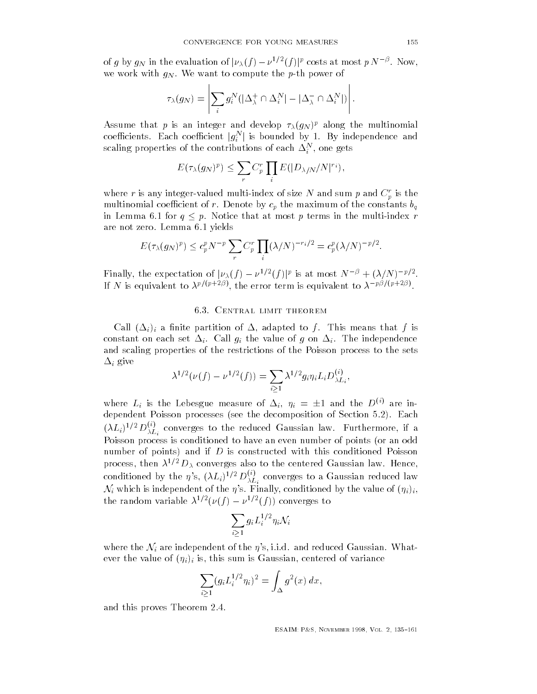of g by  $g_N$  in the evaluation of  $|\nu_\lambda(f) - \nu^{1/2}(f)|^p$  costs at most  $p N^{-\beta}$ . Now, we work with  $g_N$ . We want to compute the p-th power of

and the state of the state of the state

$$
\tau_{\lambda}(g_N) = \left| \sum_i g_i^N (|\Delta_{\lambda}^+ \cap \Delta_i^N| - |\Delta_{\lambda}^- \cap \Delta_i^N|) \right|.
$$

Assume that  $p$  is an integer and develop  $\tau_{\lambda}(y_N)^{p}$  along the multinomial coefficients. Each coefficient  $|g_i^N|$  is bounded by 1. By independence and scaling properties of the contributions of each  $\Delta_i^+$  , one gets

$$
E(\tau_{\lambda}(g_N)^p) \leq \sum_r C_p^r \prod_i E(|D_{\lambda/N}/N|^{r_i}),
$$

where r is any integer-valued multi-index of size N and sum p and  $C_r^r$  is the multinomial coefficient of r. Denote by  $c_p$  the maximum of the constants  $b_q$ in Lemma 6.1 for  $q \leq p$ . Notice that at most p terms in the multi-index r are not zero. Lemma 6.1 yields

$$
E(\tau_\lambda(g_N)^p) \le c_p^p N^{-p} \sum_r C_p^r \prod_i (\lambda/N)^{-r_i/2} = c_p^p (\lambda/N)^{-p/2}.
$$

Finally, the expectation of  $|\nu_{\lambda}(f) - \nu^{1/2}(f)|^p$  is at most  $N^{-\beta} + (\lambda/N)^{-p/2}$ . If N is equivalent to  $\lambda^{p/(p+2p)}$ , the error term is equivalent to  $\lambda^{-p/(p+2p)}$ .

# 6.3. CENTRAL LIMIT THEOREM

Call -ii a nite partition of - adapted to f This means that f is constant on each set  $\equiv_i$  . Find  $g_i$  the value of  $g$  on  $\equiv_i$  , which independence and scaling properties of the restrictions of the Poisson process to the sets -i give

$$
\lambda^{1/2}(\nu(f) - \nu^{1/2}(f)) = \sum_{i \ge 1} \lambda^{1/2} g_i \eta_i L_i D_{\lambda L_i}^{(i)},
$$

where  $L_i$  is the Lebesgue measure of  $\Delta_i$ ,  $\eta_i = \pm 1$  and the  $D^{(i)}$  are independent Poisson processes (see the decomposition of Section 5.2). Each  $(\lambda L_i)^{1/2} \, D_{\lambda L_i}^{\vee}$  converges to the reduced Gaussian law. Furthermore, if a Poisson process is conditioned to have an even number of points (or an odd number of points) and if  $D$  is constructed with this conditioned Poisson process, then  $\lambda^{1/2} D_{\lambda}$  converges also to the centered Gaussian law. Hence, conditioned by the  $\eta$ 's,  $(\lambda L_i)^{1/2} D_{\lambda L_i}^{\vee}$  converges to a Gaussian reduced law<br> $\mathcal{N}_i$  which is independent of the  $\eta$ 's. Finally, conditioned by the value of  $(\eta_i)_i,$ the random variable  $\lambda^{1/2}(\nu(f)-\nu^{1/2}(f))$  converges to

$$
\sum_{i\geq 1}g_iL_i^{1/2}\eta_i\mathcal{N}_i
$$

where the  $\mathcal{N}_i$  are independent of the  $\eta$ 's, i.i.d. and reduced Gaussian. Whatever the value of  $(\eta_i)_i$  is, this sum is Gaussian, centered of variance

$$
\sum_{i\geq 1} (g_i L_i^{1/2} \eta_i)^2 = \int_{\Delta} g^2(x) \, dx,
$$

and this proves Theorem

and the state of the state of the state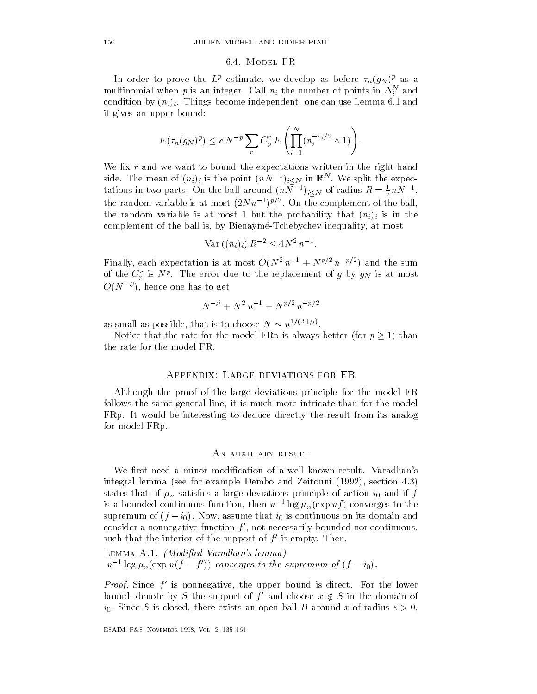#### 6.4. MODEL FR

In order to prove the  $L^p$  estimate, we develop as before  $\tau_n(g_N)^p$  as a multinomial when  $p$  is an integer. Call  $n_i$  the number of points in  $\Delta_i$  and condition by  $(n_i)_i$ . Things become independent, one can use Lemma 6.1 and it gives an upper bound

$$
E(\tau_n(g_N)^p) \le c N^{-p} \sum_r C_p^r E\left(\prod_{i=1}^N (n_i^{-r_i/2} \wedge 1)\right).
$$

We fix  $r$  and we want to bound the expectations written in the right hand side. The mean of  $(n_i)_i$  is the point  $(nN^{-1})_{i\leq N}$  in  $\mathbb{R}^N$ . We split the expectations in two parts. On the ball around  $(nN^{-1})_{i\leq N}$  of radius  $R=\frac{1}{2}nN^{-1}$ , the random variable is at most  $(2N n^{-1})^{p/2}$ . On the complement of the ball, the random variable is at most 1 but the probability that  $(n_i)_i$  is in the complement of the ball is, by Bienaymé-Tchebychev inequality, at most

$$
\text{Var}\left( (n_i)_i \right) R^{-2} \leq 4N^2 n^{-1}.
$$

Finally, each expectation is at most  $O(N^2 n^{-1} + N^{p/2} n^{-p/2})$  and the sum of the  $C_p$  is  $N^{\rho}$ . The error due to the replacement of  $g$  by  $g_N$  is at most  $O(N^{-\nu}),$  hence one has to get  $-$ 

$$
N^{-\beta} + N^2 n^{-1} + N^{p/2} n^{-p/2}
$$

as small as possible, that is to choose  $N \sim n^{1/(2+\beta)}$ .

Notice that the rate for the model FRp is always better (for  $p \ge 1$ ) than the rate for the model FR

# APPENDIX: LARGE DEVIATIONS FOR FR

Although the proof of the large deviations principle for the model FR follows the same general line, it is much more intricate than for the model FRp. It would be interesting to deduce directly the result from its analog for model FRp

#### An auxiliary result

integral lemma (see for example Dembo and Zeitouni  $(1992)$ , section 4.3) states that, if  $\mu_n$  satisfies a large deviations principle of action  $i_0$  and if f is a bounded continuous function, then  $n^{-1}\log\mu_n(\exp n f)$  converges to the supremum of  $(f - i_0)$ . Now, assume that  $i_0$  is continuous on its domain and consider a nonnegative function  $f'$ , not necessarily bounded nor continuous, such that the interior of the support of  $f'$  is empty. Then,

ed variations and the variation of the second control of the control of the control of the control of the control of the control of the control of the control of the control of the control of the control of the control of  $n^{-1}$  log  $\mu_n(\exp n(f-f'))$  converges to the supremum of  $(f-i_0)$ .

*Proof.* Since  $f'$  is nonnegative, the upper bound is direct. For the lower bound, denote by S the support of f' and choose  $x \notin S$  in the domain of  $i_0.$  Since  $S$  is closed, there exists an open ball  $B$  around  $x$  of radius  $\varepsilon>0,$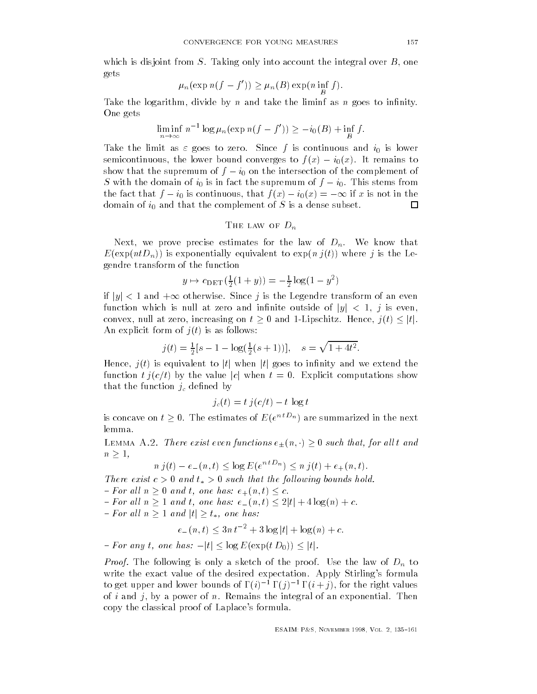$$
\mu_n(\exp n(f - f')) \ge \mu_n(B) \exp(n \inf_H f).
$$

Take the logarithm, divide by n and take the liminf as n goes to infinity.<br>One gets<br> $\liminf n^{-1} \log \mu_n (\exp n(f - f')) \geq -i_0(B) + \inf f.$ One gets

$$
\liminf_{n \to \infty} n^{-1} \log \mu_n(\exp n(f - f')) \geq -i_0(B) + \inf_B f.
$$

Take the limit as  $\varepsilon$  goes to zero. Since f is continuous and  $i_0$  is lower semicontinuous, the lower bound converges to  $f(x) - i_0(x)$ . It remains to show that the supremum of  $f - i_0$  on the intersection of the complement of S with the domain of  $i_0$  is in fact the supremum of  $f - i_0$ . This stems from the fact that  $f - i_0$  is continuous, that  $f(x) - i_0(x) = -\infty$  if x is not in the domain of  $i_0$  and that the complement of S is a dense subset. 囗

THE LAW OF 
$$
D_n
$$

Next, we prove precise estimates for the law of  $D_n$ . We know that  $E(\exp(ntD_n))$  is exponentially equivalent to  $\exp(n j(t))$  where j is the Legendre transform of the function

$$
y \mapsto c_{\text{DET}}(\frac{1}{2}(1+y)) = -\frac{1}{2}\log(1-y^2)
$$

if  $|y| < 1$  and  $+\infty$  otherwise. Since  $j$  is the Legendre transform of an even function which is null at zero and infinite outside of  $|y| < 1$ , j is even, if  $|y| < 1$  and  $+\infty$  otherwise. Since  $j$  is the Legendre transform of an even<br>function which is null at zero and infinite outside of  $|y| < 1$ ,  $j$  is even,<br>convex, null at zero, increasing on  $t \ge 0$  and 1-Lipschitz. He An explicit form of  $j(t)$  is as follows:

$$
j(t) = \frac{1}{2}[s - 1 - \log(\frac{1}{2}(s+1))], \quad s = \sqrt{1 + 4t^2}.
$$

Hence,  $j(t)$  is equivalent to |t| when |t| goes to infinity and we extend the function  $t \, j(c/t)$  by the value |c| when  $t = 0$ . Explicit computations show that the function  $j_c$  defined by

$$
j_c(t) = t \, j(c/t) - t \, \log t
$$

is concave on  $t \geq 0$ . The estimates of  $E(e^{nt}L_n)$  are summarized in the next lemma

LEMMA A.2. There exist even functions  $e_{\pm}(n, \cdot) \geq 0$  such that, for all t and  $n \geq 1$ ,

$$
n j(t) - e_-(n, t) \le \log E(e^{ntD_n}) \le n j(t) + e_+(n, t).
$$

There exist  $c > 0$  and  $v_* > 0$  such that the following bounds hold.  $-$  For all  $n \geq 0$  and t, one has:  $e_{+}(n,t) \leq c$ .

 $-For$  all  $n > 1$  and t, one has:  $e_-(n,t) \leq 2|t| + 4\log(n) + c$ . - For all  $n \ge 0$  and t, one has:  $e_+(n,t)$ <br>- For all  $n \ge 1$  and t, one has:  $e_-(n,t)$ <br>- For all  $n \ge 1$  and  $|t| \ge t_*$ , one has:

$$
e_{-}(n,t) \le 3n t^{-2} + 3\log|t| + \log(n) + c.
$$

- For all  $n \ge 1$  and  $|t| \ge t_*$ , one has:<br> $e_-(n,t) \le 3n t^{-2} + 3 \log |t| + \log(n-t)$ <br>- For any  $t$ , one has:  $-|t| \le \log E(\exp(t D_0)) \le |t|.$ 

Proof- The following is only a sketch of the proof Use the law of Dn to write the exact value of the desired expectation Apply Stirling and Apply Stirling and Apply Stirling and Apply Stirling to get upper and lower bounds of  $\Gamma(i)^{-1} \Gamma(j)^{-1} \Gamma(i+j)$ , for the right values of i and j, by a power of n. Remains the integral of an exponential. Then copy the classical proof of Laplace control of Laplace .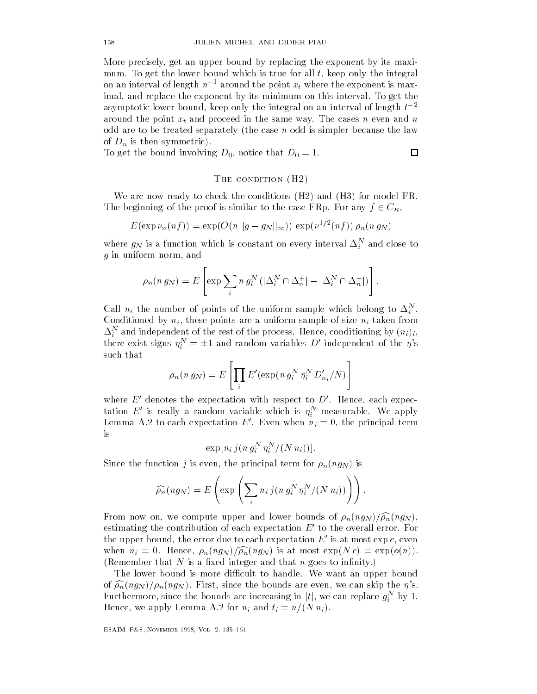More precisely get an upper bound by replacing the exponent by its maxi mum. To get the lower bound which is true for all  $t$ , keep only the integral on an interval of length  $n^{-1}$  around the point  $x_t$  where the exponent is maximal, and replace the exponent by its minimum on this interval. To get the asymptotic lower bound, keep only the integral on an interval of length  $t^{-2}$ around the point  $x_t$  and proceed in the same way. The cases n even and n odd are to be treated separately (the case  $n$  odd is simpler because the law of  $D_n$  is then symmetric).

To get the bound involving  $D_0$ , notice that  $D_0 = 1$ .

# $\Box$

#### THE CONDITION  $(H2)$  $\sim$   $\sim$

We are now ready to check the conditions  $(H2)$  and  $(H3)$  for model FR. The beginning of the proof is similar to the case FRp. For any  $f \in C_{\kappa}$ ,

$$
E(\exp \nu_n(n f)) = \exp(O(n \|g - g_N\|_\infty)) \exp(\nu^{1/2}(nf)) \rho_n(n g_N)
$$

where  $g_N$  is a function which is constant on every interval  $\Delta_i^-$  and close to g in uniform norm, and

$$
\rho_n(n g_N) = E\left[\exp\sum_i n g_i^N\left(|\Delta_i^N \cap \Delta_n^+| - |\Delta_i^N \cap \Delta_n^-|\right)\right].
$$

Call  $n_i$  the number of points of the uniform sample which belong to  $\Delta_i$ . Conditioned by  $n_i$ , these points are a uniform sample of size  $n_i$  taken from  $\Delta_i$  and independent of the rest of the process. Hence, conditioning by  $(n_i)_i$ , there exist signs  $\eta^N_i=\pm 1$  and random variables  $D'$  independent of the  $\eta$ 's such that

$$
\rho_n(n g_N) = E\left[\prod_i E'(\exp(n g_i^N \eta_i^N D'_{n_i}/N)\right]
$$

where  $E'$  denotes the expectation with respect to  $D'$ . Hence, each expectation  $E'$  is really a random variable which is  $\eta^N_i$  measurable. We apply Lemma A.2 to each expectation E'. Even when  $n_i = 0$ , the principal term is

$$
\exp[n_i\,j(n\,g_i^N\,\eta_i^N/(N\,n_i))].
$$

Since the function  $j$  is even, the principal term for  $\rho_n(ng_N)$  is

$$
\widehat{\rho_n}(ng_N) = E\left(\exp\left(\sum_i n_i j(n g_i^N \eta_i^N/(N n_i))\right)\right).
$$

From now on, we compute upper and lower bounds of  $\rho_n(ng_N)/\widehat{\rho_n}(ng_N)$ , estimating the contribution of each expectation  $E'$  to the overall error. For the upper bound, the error due to each expectation  $E^{\prime}$  is at most exp  $c$ , even when  $n_i = 0$ . Hence,  $\rho_n(ng_N)/\widehat{\rho_n}(ng_N)$  is at most  $\exp(N c) = \exp(o(n))$ . (Remember that N is a fixed integer and that n goes to infinity.)

The lower bound is more difficult to handle. We want an upper bound of contract since the bounds of the bounds are even we can skip the bounds are even we can skip the state of t Furthermore, since the bounds are increasing in  $|t|$ , we can replace  $g_i^N$  by 1.  $\blacksquare$ Hence, we apply Lemma A.2 for  $n_i$  and  $t_i = n/(N n_i)$ .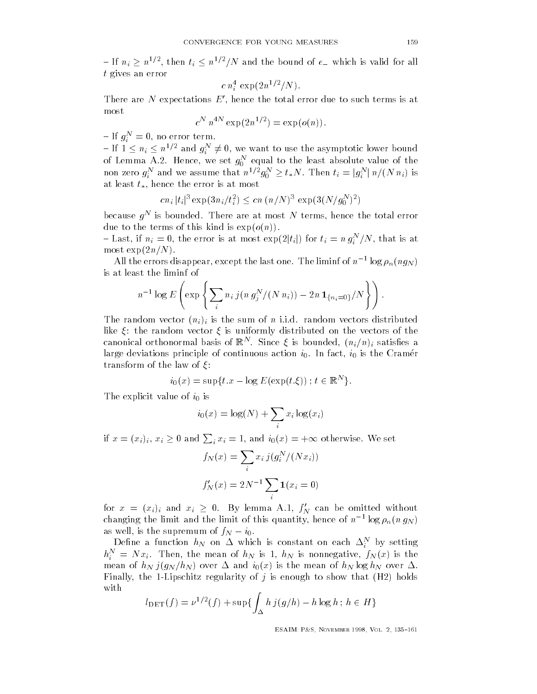$-$  If  $n_i \geq n^{1/2}$ , then  $t_i \leq n^{1/2}/N$  and the bound of  $e_{-}$  which is valid for all t gives an error

$$
c n_i^4 \, \exp(2n^{1/2}/N).
$$

There are  $N$  expectations  $E',$  hence the total error due to such terms is at most

$$
c^N n^{4N} \exp(2n^{1/2}) = \exp(o(n)).
$$

 $-If$   $q_i^N = 0$ , no error term.

If  $1 \le n_i \le n^{1/2}$  and  $g_i^N \ne 0$ , we want to use the asymptotic lower bound of Lemma A.2. Hence, we set  $g_0$  -equal to the least absolute value of the  $\sim$ non zero  $g_i^N$  and we assume that  $n^{1/2}g_0^N \ge t_*N$ . Then  $t_i = |g_i^N| \, n/(N \, n_i)$  is at least  $t_*$ , hence the error is at most

$$
cn_i |t_i|^3 \exp(3n_i/t_i^2) \le cn (n/N)^3 \exp(3(N/g_0^N)^2)
$$

because  $y_{\parallel}$  is bounded. There are at most N terms, hence the total error due to the terms of this kind is  $\exp(o(n))$ .

- Last, if  $n_i = 0$ , the error is at most  $\exp(2|t_i|)$  for  $t_i = n g_i^N/N$ , that is at most  $\exp(2n/N)$ .

All the errors disappear, except the last one. The liminf of  $n^{-1}\log\rho_n(ng_N)$ is at least the liminf of

$$
n^{-1} \log E \left( \exp \left\{ \sum_i n_i \, j(n \, g_j^N/(N \, n_i)) - 2n \, \mathbf{1}_{\{n_i = 0\}}/N \right\} \right).
$$

The random vector  $(n_i)_i$  is the sum of n i.i.d. random vectors distributed like  $\xi$ : the random vector  $\xi$  is uniformly distributed on the vectors of the canonical orthonormal basis of  $\mathbb{R}^+$ . Since  $\xi$  is bounded,  $(n_i/n)_i$  satisfies a large deviations principle of continuous action  $i_0$ . In fact,  $i_0$  is the Cramer transform of the law of  $\xi$ :

$$
i_0(x) = \sup\{t \cdot x - \log E(\exp(t \cdot \xi)) \mid t \in \mathbb{R}^N\}.
$$

The explicit value of  $i_0$  is

$$
i_0(x) = \log(N) + \sum_i x_i \log(x_i)
$$

if  $x = (x_i)_i, x_i \ge 0$  and  $\sum_i x_i = 1$ , and  $i_0(x) = +\infty$  otherwise. We set

$$
f_N(x) = \sum_i x_i j(g_i^N/(Nx_i))
$$
  

$$
f'_N(x) = 2N^{-1} \sum_i \mathbf{1}(x_i = 0)
$$

for  $x = (x_i)_i$  and  $x_i \ge 0$ . By lemma A.1,  $f'_N$  can be omitted without changing the limit and the limit of this quantity, hence of  $n^{-1}\log\rho_n(n\,g_N)$ as well, is the supremum of  $f_N - i_0$ .

Define a function  $n_N$  on  $\Delta$  which is constant on each  $\Delta_i$  by setting  $h_i$  = N  $x_i$ . Then, the mean of  $h_N$  is 1,  $h_N$  is nonnegative,  $J_N(x)$  is the mean of hN  $_{\rm N}$  is the mean of handelph over  $_{\rm max}$  and  $_{\rm max}$  over  $_{\rm max}$  . The mean of handelph over  $_{\rm max}$ Finally, the 1-Lipschitz regularity of j is enough to show that  $(H2)$  holds with

$$
l_{\text{DET}}(f) = \nu^{1/2}(f) + \sup\{\int_{\Delta} h \, j(g/h) - h \log h \, ; \, h \in H\}
$$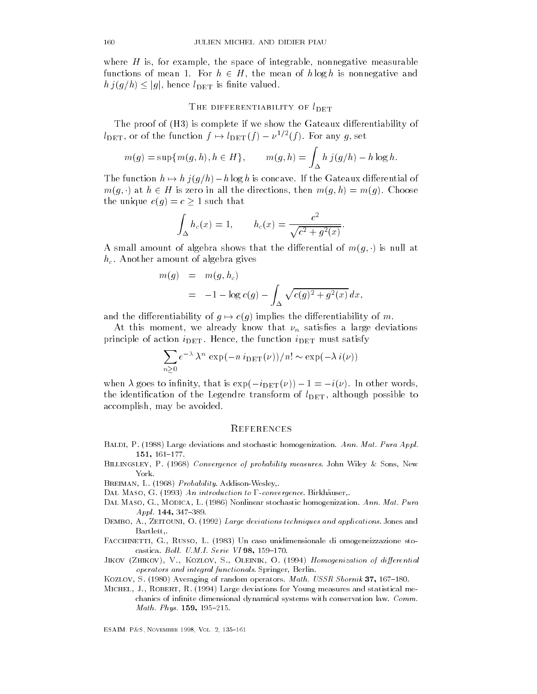where  $H$  is, for example, the space of integrable, nonnegative measurable functions of mean 1. For  $h \in H$ , the mean of  $h \log h$  is nonnegative and where *H* is, for example, the space of integ<br>functions of mean 1. For  $h \in H$ , the mean<br> $h j(g/h) \leq |g|$ , hence  $l_{\text{DET}}$  is finite valued.

### THE DIFFERENTIABILITY OF  $l_{\rm DET}$

The proof of  $(H3)$  is complete if we show the Gateaux differentiability of  $l_{\text{DET}}$ , or of the function  $f \mapsto l_{\text{DET}}(f) - \nu^{1/2}(f)$ . For any g, set

$$
m(g) = \sup\{m(g, h), h \in H\}, \qquad m(g, h) = \int_{\Delta} h j(g/h) - h \log h.
$$

The function  $h \mapsto h \, j(g/h) - h \log h$  is concave. If the Gateaux differential of  $m(q, \cdot)$  at  $h \in H$  is zero in all the directions, then  $m(q, h) = m(q)$ . Choose the unique  $c(g) = c \geq 1$  such that

$$
\int_{\Delta} h_c(x) = 1,
$$
  $h_c(x) = \frac{c^2}{\sqrt{c^2 + g^2(x)}}.$ 

A small amount of algebra shows that the differential of  $m(q, \cdot)$  is null at  $h_c$ . Another amount of algebra gives

$$
m(g) = m(g, h_c)
$$
  
= -1 - log c(g) -  $\int_{\Delta} \sqrt{c(g)^2 + g^2(x)} dx$ ,

and the differentiability of  $g \mapsto c(g)$  implies the differentiability of m.

At this moment, we already know that  $\nu_n$  satisfies a large deviations principle of action  $i_{\text{DET}}$ . Hence, the function  $i_{\text{DET}}$  must satisfy

$$
\sum_{n\geq 0} e^{-\lambda} \lambda^n \exp(-n i_{\text{DET}}(\nu))/n! \sim \exp(-\lambda i(\nu))
$$

when  $\lambda$  goes to infinity, that is  $\exp(-i_{\text{DET}}(\nu)) - 1 = -i(\nu)$ . In other words, the identification of the Legendre transform of  $l_{\text{DET}}$ , although possible to accomplish, may be avoided.

# **REFERENCES**

- Baldi P- Large deviations and stochastic homogenization Ann- Mat- Pura Appl-151, 161-177.
- $\mathcal{S}$  -converges of probability measures of probability measures  $\mathcal{S}$  and  $\mathcal{S}$ York
- wesley and the contract of the contract of the contract of the contract of the contract of the contract of the contract of the contract of the contract of the contract of the contract of the contract of the contract of the
- Dal Maso G- An introduction to convergence Birkhauser
- dal Maso G-modica L-modica L-modica L-modica L-modical L-modical L-modical L-modical L-modical L-modical L-mod<br>Ann-L-modical L-modical L-modical L-modical L-modical L-modical L-modical L-modical L-modical L-modical L-modi Appl-
- Dembo A- Zeitouni O- Large deviations techniques and applications Jones and Bartlett
- Facchinetti G- Russo L- Un caso unidimensionale di omogeneizzazione stocastica in the castical contract of the castical contract of the contract of the contract of the contract of the contract of the contract of the contract of the contract of the contract of the contract of the contract of t
- Jikov Zhikov V- Kozlov S- Oleinik O- Homogenization of dierential operators and integral functionals. Springer, Berlin.
- Kozlov S- Averaging of random operators Math- USSR Sbornik
- michel J-, michel J-, michel J-, measures and statistical measures and statistical mechanics of infinite dimensional dynamical systems with conservation law.  $Comm.$ Math- Phys-